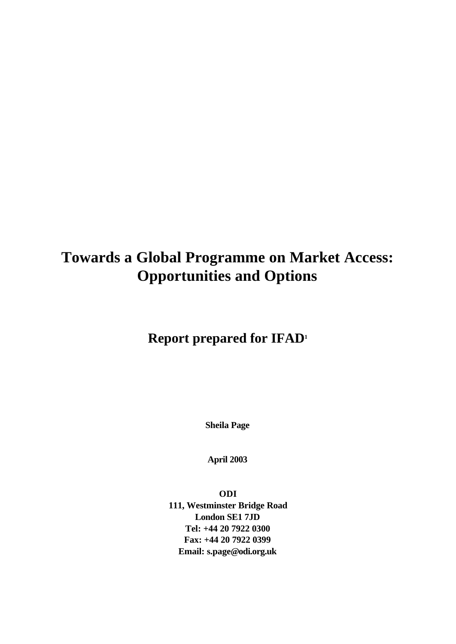# **Towards a Global Programme on Market Access: Opportunities and Options**

# **Report prepared for IFAD<sup>1</sup>**

**Sheila Page**

**April 2003**

**ODI 111, Westminster Bridge Road London SE1 7JD Tel: +44 20 7922 0300 Fax: +44 20 7922 0399 Email: s.page@odi.org.uk**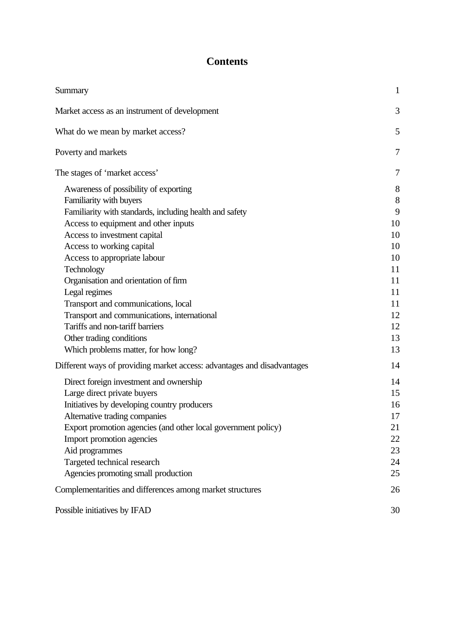# **Contents**

| Summary                                                                                                                                                                                                                                                                                                                                                                                                                 | $\mathbf{1}$                                             |
|-------------------------------------------------------------------------------------------------------------------------------------------------------------------------------------------------------------------------------------------------------------------------------------------------------------------------------------------------------------------------------------------------------------------------|----------------------------------------------------------|
| Market access as an instrument of development                                                                                                                                                                                                                                                                                                                                                                           | 3                                                        |
| What do we mean by market access?                                                                                                                                                                                                                                                                                                                                                                                       | 5                                                        |
| Poverty and markets                                                                                                                                                                                                                                                                                                                                                                                                     | 7                                                        |
| The stages of 'market access'                                                                                                                                                                                                                                                                                                                                                                                           | 7                                                        |
| Awareness of possibility of exporting<br>Familiarity with buyers<br>Familiarity with standards, including health and safety<br>Access to equipment and other inputs<br>Access to investment capital<br>Access to working capital                                                                                                                                                                                        | 8<br>$8\,$<br>9<br>10<br>10<br>10                        |
| Access to appropriate labour<br>Technology<br>Organisation and orientation of firm<br>Legal regimes<br>Transport and communications, local<br>Transport and communications, international<br>Tariffs and non-tariff barriers<br>Other trading conditions<br>Which problems matter, for how long?                                                                                                                        | 10<br>11<br>11<br>11<br>11<br>12<br>12<br>13<br>13       |
| Different ways of providing market access: advantages and disadvantages<br>Direct foreign investment and ownership<br>Large direct private buyers<br>Initiatives by developing country producers<br>Alternative trading companies<br>Export promotion agencies (and other local government policy)<br>Import promotion agencies<br>Aid programmes<br>Targeted technical research<br>Agencies promoting small production | 14<br>14<br>15<br>16<br>17<br>21<br>22<br>23<br>24<br>25 |
| Complementarities and differences among market structures                                                                                                                                                                                                                                                                                                                                                               | 26                                                       |
| Possible initiatives by IFAD                                                                                                                                                                                                                                                                                                                                                                                            | 30                                                       |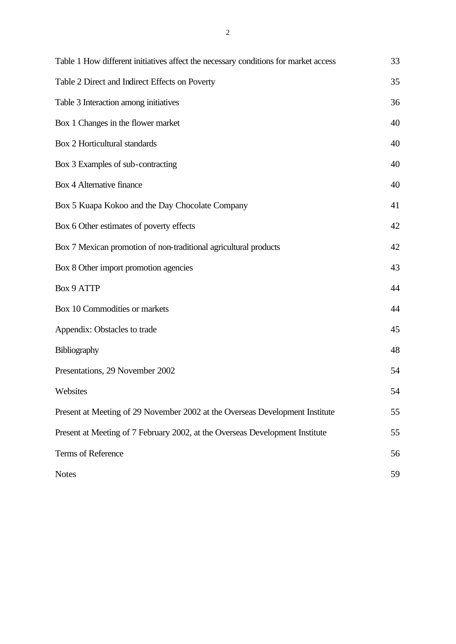| Table 1 How different initiatives affect the necessary conditions for market access | 33 |
|-------------------------------------------------------------------------------------|----|
| Table 2 Direct and Indirect Effects on Poverty                                      | 35 |
| Table 3 Interaction among initiatives                                               | 36 |
| Box 1 Changes in the flower market                                                  | 40 |
| Box 2 Horticultural standards                                                       | 40 |
| Box 3 Examples of sub-contracting                                                   | 40 |
| Box 4 Alternative finance                                                           | 40 |
| Box 5 Kuapa Kokoo and the Day Chocolate Company                                     | 41 |
| Box 6 Other estimates of poverty effects                                            | 42 |
| Box 7 Mexican promotion of non-traditional agricultural products                    | 42 |
| Box 8 Other import promotion agencies                                               | 43 |
| <b>Box 9 ATTP</b>                                                                   | 44 |
| Box 10 Commodities or markets                                                       | 44 |
| Appendix: Obstacles to trade                                                        | 45 |
| Bibliography                                                                        | 48 |
| Presentations, 29 November 2002                                                     | 54 |
| Websites                                                                            | 54 |
| Present at Meeting of 29 November 2002 at the Overseas Development Institute        | 55 |
| Present at Meeting of 7 February 2002, at the Overseas Development Institute        | 55 |
| Terms of Reference                                                                  | 56 |
| <b>Notes</b>                                                                        | 59 |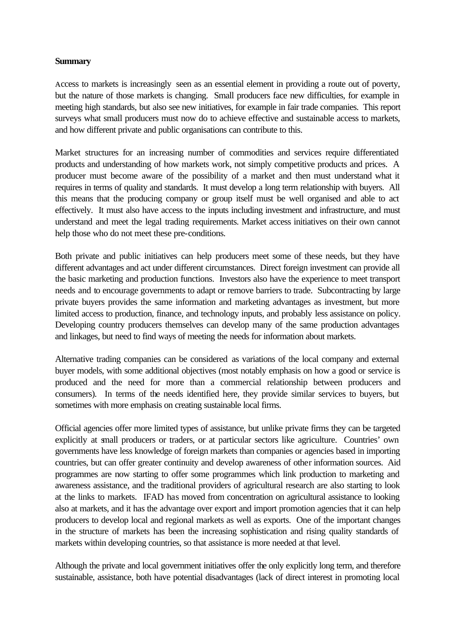# **Summary**

Access to markets is increasingly seen as an essential element in providing a route out of poverty, but the nature of those markets is changing. Small producers face new difficulties, for example in meeting high standards, but also see new initiatives, for example in fair trade companies. This report surveys what small producers must now do to achieve effective and sustainable access to markets, and how different private and public organisations can contribute to this.

Market structures for an increasing number of commodities and services require differentiated products and understanding of how markets work, not simply competitive products and prices. A producer must become aware of the possibility of a market and then must understand what it requires in terms of quality and standards. It must develop a long term relationship with buyers. All this means that the producing company or group itself must be well organised and able to act effectively. It must also have access to the inputs including investment and infrastructure, and must understand and meet the legal trading requirements. Market access initiatives on their own cannot help those who do not meet these pre-conditions.

Both private and public initiatives can help producers meet some of these needs, but they have different advantages and act under different circumstances. Direct foreign investment can provide all the basic marketing and production functions. Investors also have the experience to meet transport needs and to encourage governments to adapt or remove barriers to trade. Subcontracting by large private buyers provides the same information and marketing advantages as investment, but more limited access to production, finance, and technology inputs, and probably less assistance on policy. Developing country producers themselves can develop many of the same production advantages and linkages, but need to find ways of meeting the needs for information about markets.

Alternative trading companies can be considered as variations of the local company and external buyer models, with some additional objectives (most notably emphasis on how a good or service is produced and the need for more than a commercial relationship between producers and consumers). In terms of the needs identified here, they provide similar services to buyers, but sometimes with more emphasis on creating sustainable local firms.

Official agencies offer more limited types of assistance, but unlike private firms they can be targeted explicitly at small producers or traders, or at particular sectors like agriculture. Countries' own governments have less knowledge of foreign markets than companies or agencies based in importing countries, but can offer greater continuity and develop awareness of other information sources. Aid programmes are now starting to offer some programmes which link production to marketing and awareness assistance, and the traditional providers of agricultural research are also starting to look at the links to markets. IFAD has moved from concentration on agricultural assistance to looking also at markets, and it has the advantage over export and import promotion agencies that it can help producers to develop local and regional markets as well as exports. One of the important changes in the structure of markets has been the increasing sophistication and rising quality standards of markets within developing countries, so that assistance is more needed at that level.

Although the private and local government initiatives offer the only explicitly long term, and therefore sustainable, assistance, both have potential disadvantages (lack of direct interest in promoting local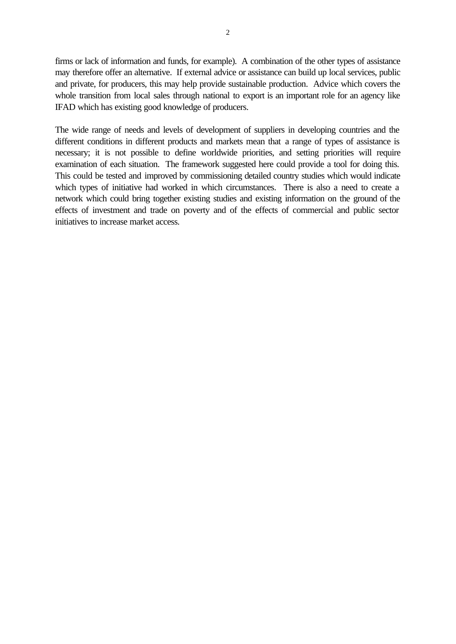firms or lack of information and funds, for example). A combination of the other types of assistance may therefore offer an alternative. If external advice or assistance can build up local services, public and private, for producers, this may help provide sustainable production. Advice which covers the whole transition from local sales through national to export is an important role for an agency like IFAD which has existing good knowledge of producers.

The wide range of needs and levels of development of suppliers in developing countries and the different conditions in different products and markets mean that a range of types of assistance is necessary; it is not possible to define worldwide priorities, and setting priorities will require examination of each situation. The framework suggested here could provide a tool for doing this. This could be tested and improved by commissioning detailed country studies which would indicate which types of initiative had worked in which circumstances. There is also a need to create a network which could bring together existing studies and existing information on the ground of the effects of investment and trade on poverty and of the effects of commercial and public sector initiatives to increase market access.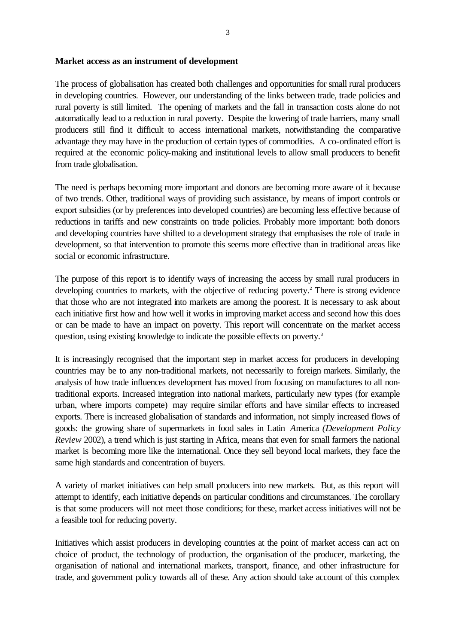#### **Market access as an instrument of development**

The process of globalisation has created both challenges and opportunities for small rural producers in developing countries. However, our understanding of the links between trade, trade policies and rural poverty is still limited. The opening of markets and the fall in transaction costs alone do not automatically lead to a reduction in rural poverty. Despite the lowering of trade barriers, many small producers still find it difficult to access international markets, notwithstanding the comparative advantage they may have in the production of certain types of commodities. A co-ordinated effort is required at the economic policy-making and institutional levels to allow small producers to benefit from trade globalisation.

The need is perhaps becoming more important and donors are becoming more aware of it because of two trends. Other, traditional ways of providing such assistance, by means of import controls or export subsidies (or by preferences into developed countries) are becoming less effective because of reductions in tariffs and new constraints on trade policies. Probably more important: both donors and developing countries have shifted to a development strategy that emphasises the role of trade in development, so that intervention to promote this seems more effective than in traditional areas like social or economic infrastructure.

The purpose of this report is to identify ways of increasing the access by small rural producers in developing countries to markets, with the objective of reducing poverty.<sup>2</sup> There is strong evidence that those who are not integrated into markets are among the poorest. It is necessary to ask about each initiative first how and how well it works in improving market access and second how this does or can be made to have an impact on poverty. This report will concentrate on the market access question, using existing knowledge to indicate the possible effects on poverty.<sup>3</sup>

It is increasingly recognised that the important step in market access for producers in developing countries may be to any non-traditional markets, not necessarily to foreign markets. Similarly, the analysis of how trade influences development has moved from focusing on manufactures to all nontraditional exports. Increased integration into national markets, particularly new types (for example urban, where imports compete) may require similar efforts and have similar effects to increased exports. There is increased globalisation of standards and information, not simply increased flows of goods: the growing share of supermarkets in food sales in Latin *A*merica *(Development Policy Review* 2002), a trend which is just starting in Africa, means that even for small farmers the national market is becoming more like the international. Once they sell beyond local markets, they face the same high standards and concentration of buyers.

A variety of market initiatives can help small producers into new markets. But, as this report will attempt to identify, each initiative depends on particular conditions and circumstances. The corollary is that some producers will not meet those conditions; for these, market access initiatives will not be a feasible tool for reducing poverty.

Initiatives which assist producers in developing countries at the point of market access can act on choice of product, the technology of production, the organisation of the producer, marketing, the organisation of national and international markets, transport, finance, and other infrastructure for trade, and government policy towards all of these. Any action should take account of this complex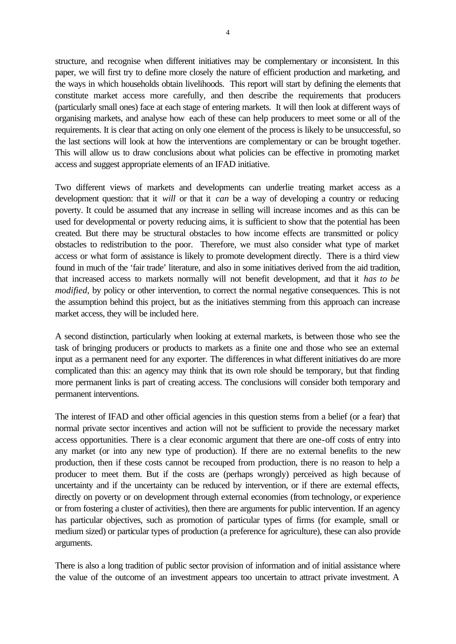structure, and recognise when different initiatives may be complementary or inconsistent. In this paper, we will first try to define more closely the nature of efficient production and marketing, and the ways in which households obtain livelihoods. This report will start by defining the elements that constitute market access more carefully, and then describe the requirements that producers (particularly small ones) face at each stage of entering markets. It will then look at different ways of organising markets, and analyse how each of these can help producers to meet some or all of the requirements. It is clear that acting on only one element of the process is likely to be unsuccessful, so the last sections will look at how the interventions are complementary or can be brought together. This will allow us to draw conclusions about what policies can be effective in promoting market access and suggest appropriate elements of an IFAD initiative.

Two different views of markets and developments can underlie treating market access as a development question: that it *will* or that it *can* be a way of developing a country or reducing poverty. It could be assumed that any increase in selling will increase incomes and as this can be used for developmental or poverty reducing aims, it is sufficient to show that the potential has been created. But there may be structural obstacles to how income effects are transmitted or policy obstacles to redistribution to the poor. Therefore, we must also consider what type of market access or what form of assistance is likely to promote development directly. There is a third view found in much of the 'fair trade' literature, and also in some initiatives derived from the aid tradition, that increased access to markets normally will not benefit development, and that it *has to be modified*, by policy or other intervention, to correct the normal negative consequences. This is not the assumption behind this project, but as the initiatives stemming from this approach can increase market access, they will be included here.

A second distinction, particularly when looking at external markets, is between those who see the task of bringing producers or products to markets as a finite one and those who see an external input as a permanent need for any exporter. The differences in what different initiatives do are more complicated than this: an agency may think that its own role should be temporary, but that finding more permanent links is part of creating access. The conclusions will consider both temporary and permanent interventions.

The interest of IFAD and other official agencies in this question stems from a belief (or a fear) that normal private sector incentives and action will not be sufficient to provide the necessary market access opportunities. There is a clear economic argument that there are one-off costs of entry into any market (or into any new type of production). If there are no external benefits to the new production, then if these costs cannot be recouped from production, there is no reason to help a producer to meet them. But if the costs are (perhaps wrongly) perceived as high because of uncertainty and if the uncertainty can be reduced by intervention, or if there are external effects, directly on poverty or on development through external economies (from technology, or experience or from fostering a cluster of activities), then there are arguments for public intervention. If an agency has particular objectives, such as promotion of particular types of firms (for example, small or medium sized) or particular types of production (a preference for agriculture), these can also provide arguments.

There is also a long tradition of public sector provision of information and of initial assistance where the value of the outcome of an investment appears too uncertain to attract private investment. A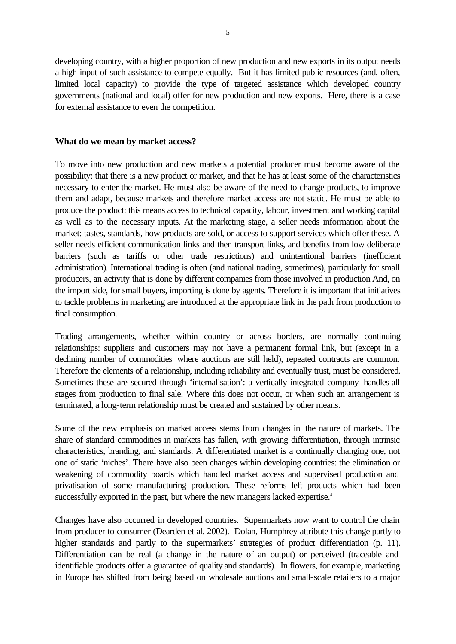developing country, with a higher proportion of new production and new exports in its output needs a high input of such assistance to compete equally. But it has limited public resources (and, often, limited local capacity) to provide the type of targeted assistance which developed country governments (national and local) offer for new production and new exports. Here, there is a case for external assistance to even the competition.

### **What do we mean by market access?**

To move into new production and new markets a potential producer must become aware of the possibility: that there is a new product or market, and that he has at least some of the characteristics necessary to enter the market. He must also be aware of the need to change products, to improve them and adapt, because markets and therefore market access are not static. He must be able to produce the product: this means access to technical capacity, labour, investment and working capital as well as to the necessary inputs. At the marketing stage, a seller needs information about the market: tastes, standards, how products are sold, or access to support services which offer these. A seller needs efficient communication links and then transport links, and benefits from low deliberate barriers (such as tariffs or other trade restrictions) and unintentional barriers (inefficient administration). International trading is often (and national trading, sometimes), particularly for small producers, an activity that is done by different companies from those involved in production And, on the import side, for small buyers, importing is done by agents. Therefore it is important that initiatives to tackle problems in marketing are introduced at the appropriate link in the path from production to final consumption.

Trading arrangements, whether within country or across borders, are normally continuing relationships: suppliers and customers may not have a permanent formal link, but (except in a declining number of commodities where auctions are still held), repeated contracts are common. Therefore the elements of a relationship, including reliability and eventually trust, must be considered. Sometimes these are secured through 'internalisation': a vertically integrated company handles all stages from production to final sale. Where this does not occur, or when such an arrangement is terminated, a long-term relationship must be created and sustained by other means.

Some of the new emphasis on market access stems from changes in the nature of markets. The share of standard commodities in markets has fallen, with growing differentiation, through intrinsic characteristics, branding, and standards. A differentiated market is a continually changing one, not one of static 'niches'. There have also been changes within developing countries: the elimination or weakening of commodity boards which handled market access and supervised production and privatisation of some manufacturing production. These reforms left products which had been successfully exported in the past, but where the new managers lacked expertise.<sup>4</sup>

Changes have also occurred in developed countries. Supermarkets now want to control the chain from producer to consumer (Dearden et al. 2002). Dolan, Humphrey attribute this change partly to higher standards and partly to the supermarkets' strategies of product differentiation (p. 11). Differentiation can be real (a change in the nature of an output) or perceived (traceable and identifiable products offer a guarantee of quality and standards). In flowers, for example, marketing in Europe has shifted from being based on wholesale auctions and small-scale retailers to a major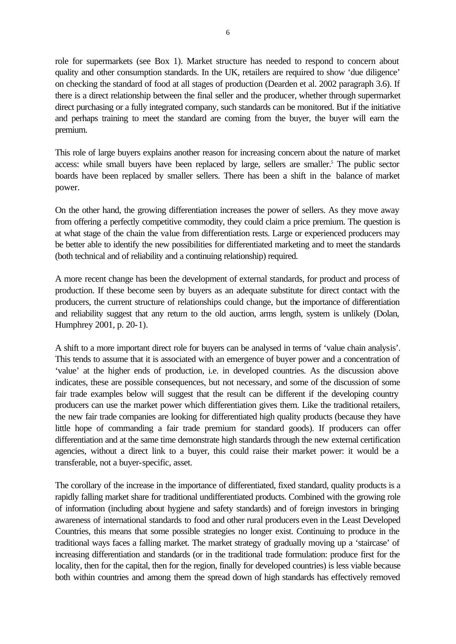role for supermarkets (see Box 1). Market structure has needed to respond to concern about quality and other consumption standards. In the UK, retailers are required to show 'due diligence' on checking the standard of food at all stages of production (Dearden et al. 2002 paragraph 3.6). If there is a direct relationship between the final seller and the producer, whether through supermarket direct purchasing or a fully integrated company, such standards can be monitored. But if the initiative and perhaps training to meet the standard are coming from the buyer, the buyer will earn the premium.

This role of large buyers explains another reason for increasing concern about the nature of market access: while small buyers have been replaced by large, sellers are smaller.<sup>5</sup> The public sector boards have been replaced by smaller sellers. There has been a shift in the balance of market power.

On the other hand, the growing differentiation increases the power of sellers. As they move away from offering a perfectly competitive commodity, they could claim a price premium. The question is at what stage of the chain the value from differentiation rests. Large or experienced producers may be better able to identify the new possibilities for differentiated marketing and to meet the standards (both technical and of reliability and a continuing relationship) required.

A more recent change has been the development of external standards, for product and process of production. If these become seen by buyers as an adequate substitute for direct contact with the producers, the current structure of relationships could change, but the importance of differentiation and reliability suggest that any return to the old auction, arms length, system is unlikely (Dolan, Humphrey 2001, p. 20-1).

A shift to a more important direct role for buyers can be analysed in terms of 'value chain analysis'. This tends to assume that it is associated with an emergence of buyer power and a concentration of 'value' at the higher ends of production, i.e. in developed countries. As the discussion above indicates, these are possible consequences, but not necessary, and some of the discussion of some fair trade examples below will suggest that the result can be different if the developing country producers can use the market power which differentiation gives them. Like the traditional retailers, the new fair trade companies are looking for differentiated high quality products (because they have little hope of commanding a fair trade premium for standard goods). If producers can offer differentiation and at the same time demonstrate high standards through the new external certification agencies, without a direct link to a buyer, this could raise their market power: it would be a transferable, not a buyer-specific, asset.

The corollary of the increase in the importance of differentiated, fixed standard, quality products is a rapidly falling market share for traditional undifferentiated products. Combined with the growing role of information (including about hygiene and safety standards) and of foreign investors in bringing awareness of international standards to food and other rural producers even in the Least Developed Countries, this means that some possible strategies no longer exist. Continuing to produce in the traditional ways faces a falling market. The market strategy of gradually moving up a 'staircase' of increasing differentiation and standards (or in the traditional trade formulation: produce first for the locality, then for the capital, then for the region, finally for developed countries) is less viable because both within countries and among them the spread down of high standards has effectively removed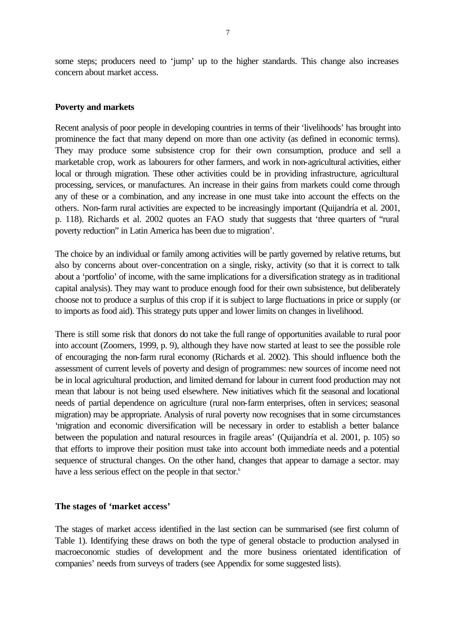some steps; producers need to 'jump' up to the higher standards. This change also increases concern about market access.

### **Poverty and markets**

Recent analysis of poor people in developing countries in terms of their 'livelihoods' has brought into prominence the fact that many depend on more than one activity (as defined in economic terms). They may produce some subsistence crop for their own consumption, produce and sell a marketable crop, work as labourers for other farmers, and work in non-agricultural activities, either local or through migration. These other activities could be in providing infrastructure, agricultural processing, services, or manufactures. An increase in their gains from markets could come through any of these or a combination, and any increase in one must take into account the effects on the others. Non-farm rural activities are expected to be increasingly important (Quijandría et al. 2001, p. 118). Richards et al. 2002 quotes an FAO study that suggests that 'three quarters of "rural poverty reduction" in Latin America has been due to migration'.

The choice by an individual or family among activities will be partly governed by relative returns, but also by concerns about over-concentration on a single, risky, activity (so that it is correct to talk about a 'portfolio' of income, with the same implications for a diversification strategy as in traditional capital analysis). They may want to produce enough food for their own subsistence, but deliberately choose not to produce a surplus of this crop if it is subject to large fluctuations in price or supply (or to imports as food aid). This strategy puts upper and lower limits on changes in livelihood.

There is still some risk that donors do not take the full range of opportunities available to rural poor into account (Zoomers, 1999, p. 9), although they have now started at least to see the possible role of encouraging the non-farm rural economy (Richards et al. 2002). This should influence both the assessment of current levels of poverty and design of programmes: new sources of income need not be in local agricultural production, and limited demand for labour in current food production may not mean that labour is not being used elsewhere. New initiatives which fit the seasonal and locational needs of partial dependence on agriculture (rural non-farm enterprises, often in services; seasonal migration) may be appropriate. Analysis of rural poverty now recognises that in some circumstances 'migration and economic diversification will be necessary in order to establish a better balance between the population and natural resources in fragile areas' (Quijandría et al. 2001, p. 105) so that efforts to improve their position must take into account both immediate needs and a potential sequence of structural changes. On the other hand, changes that appear to damage a sector. may have a less serious effect on the people in that sector.<sup>6</sup>

### **The stages of 'market access'**

The stages of market access identified in the last section can be summarised (see first column of Table 1). Identifying these draws on both the type of general obstacle to production analysed in macroeconomic studies of development and the more business orientated identification of companies' needs from surveys of traders (see Appendix for some suggested lists).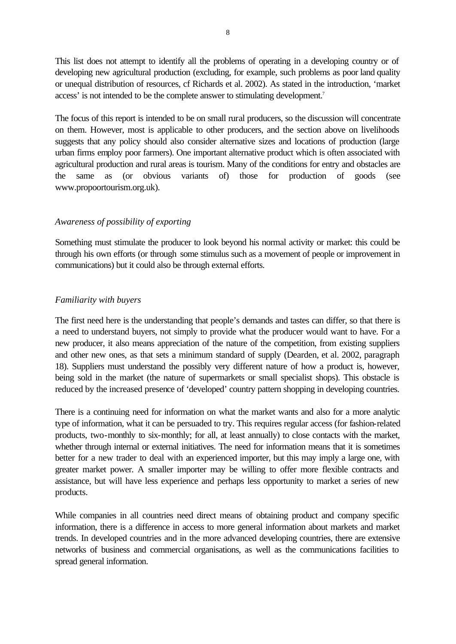This list does not attempt to identify all the problems of operating in a developing country or of developing new agricultural production (excluding, for example, such problems as poor land quality or unequal distribution of resources, cf Richards et al. 2002). As stated in the introduction, 'market access' is not intended to be the complete answer to stimulating development.<sup>7</sup>

The focus of this report is intended to be on small rural producers, so the discussion will concentrate on them. However, most is applicable to other producers, and the section above on livelihoods suggests that any policy should also consider alternative sizes and locations of production (large urban firms employ poor farmers). One important alternative product which is often associated with agricultural production and rural areas is tourism. Many of the conditions for entry and obstacles are the same as (or obvious variants of) those for production of goods (see www.propoortourism.org.uk).

### *Awareness of possibility of exporting*

Something must stimulate the producer to look beyond his normal activity or market: this could be through his own efforts (or through some stimulus such as a movement of people or improvement in communications) but it could also be through external efforts.

### *Familiarity with buyers*

The first need here is the understanding that people's demands and tastes can differ, so that there is a need to understand buyers, not simply to provide what the producer would want to have. For a new producer, it also means appreciation of the nature of the competition, from existing suppliers and other new ones, as that sets a minimum standard of supply (Dearden, et al. 2002, paragraph 18). Suppliers must understand the possibly very different nature of how a product is, however, being sold in the market (the nature of supermarkets or small specialist shops). This obstacle is reduced by the increased presence of 'developed' country pattern shopping in developing countries.

There is a continuing need for information on what the market wants and also for a more analytic type of information, what it can be persuaded to try. This requires regular access (for fashion-related products, two-monthly to six-monthly; for all, at least annually) to close contacts with the market, whether through internal or external initiatives. The need for information means that it is sometimes better for a new trader to deal with an experienced importer, but this may imply a large one, with greater market power. A smaller importer may be willing to offer more flexible contracts and assistance, but will have less experience and perhaps less opportunity to market a series of new products.

While companies in all countries need direct means of obtaining product and company specific information, there is a difference in access to more general information about markets and market trends. In developed countries and in the more advanced developing countries, there are extensive networks of business and commercial organisations, as well as the communications facilities to spread general information.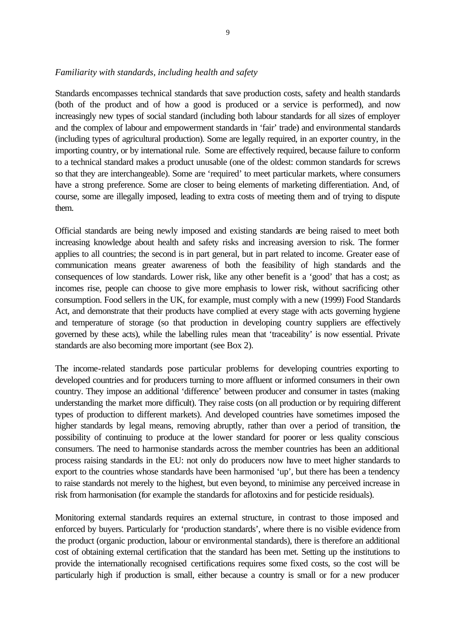# *Familiarity with standards, including health and safety*

Standards encompasses technical standards that save production costs, safety and health standards (both of the product and of how a good is produced or a service is performed), and now increasingly new types of social standard (including both labour standards for all sizes of employer and the complex of labour and empowerment standards in 'fair' trade) and environmental standards (including types of agricultural production). Some are legally required, in an exporter country, in the importing country, or by international rule. Some are effectively required, because failure to conform to a technical standard makes a product unusable (one of the oldest: common standards for screws so that they are interchangeable). Some are 'required' to meet particular markets, where consumers have a strong preference. Some are closer to being elements of marketing differentiation. And, of course, some are illegally imposed, leading to extra costs of meeting them and of trying to dispute them.

Official standards are being newly imposed and existing standards are being raised to meet both increasing knowledge about health and safety risks and increasing aversion to risk. The former applies to all countries; the second is in part general, but in part related to income. Greater ease of communication means greater awareness of both the feasibility of high standards and the consequences of low standards. Lower risk, like any other benefit is a 'good' that has a cost; as incomes rise, people can choose to give more emphasis to lower risk, without sacrificing other consumption. Food sellers in the UK, for example, must comply with a new (1999) Food Standards Act, and demonstrate that their products have complied at every stage with acts governing hygiene and temperature of storage (so that production in developing country suppliers are effectively governed by these acts), while the labelling rules mean that 'traceability' is now essential. Private standards are also becoming more important (see Box 2).

The income-related standards pose particular problems for developing countries exporting to developed countries and for producers turning to more affluent or informed consumers in their own country. They impose an additional 'difference' between producer and consumer in tastes (making understanding the market more difficult). They raise costs (on all production or by requiring different types of production to different markets). And developed countries have sometimes imposed the higher standards by legal means, removing abruptly, rather than over a period of transition, the possibility of continuing to produce at the lower standard for poorer or less quality conscious consumers. The need to harmonise standards across the member countries has been an additional process raising standards in the EU: not only do producers now have to meet higher standards to export to the countries whose standards have been harmonised 'up', but there has been a tendency to raise standards not merely to the highest, but even beyond, to minimise any perceived increase in risk from harmonisation (for example the standards for aflotoxins and for pesticide residuals).

Monitoring external standards requires an external structure, in contrast to those imposed and enforced by buyers. Particularly for 'production standards', where there is no visible evidence from the product (organic production, labour or environmental standards), there is therefore an additional cost of obtaining external certification that the standard has been met. Setting up the institutions to provide the internationally recognised certifications requires some fixed costs, so the cost will be particularly high if production is small, either because a country is small or for a new producer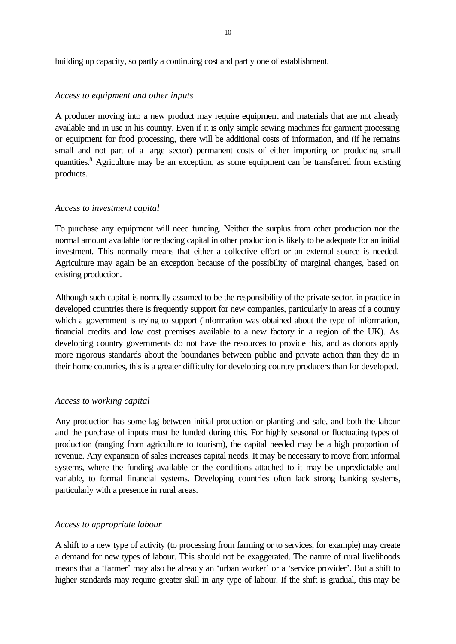building up capacity, so partly a continuing cost and partly one of establishment.

### *Access to equipment and other inputs*

A producer moving into a new product may require equipment and materials that are not already available and in use in his country. Even if it is only simple sewing machines for garment processing or equipment for food processing, there will be additional costs of information, and (if he remains small and not part of a large sector) permanent costs of either importing or producing small quantities.<sup>8</sup> Agriculture may be an exception, as some equipment can be transferred from existing products.

### *Access to investment capital*

To purchase any equipment will need funding. Neither the surplus from other production nor the normal amount available for replacing capital in other production is likely to be adequate for an initial investment. This normally means that either a collective effort or an external source is needed. Agriculture may again be an exception because of the possibility of marginal changes, based on existing production.

Although such capital is normally assumed to be the responsibility of the private sector, in practice in developed countries there is frequently support for new companies, particularly in areas of a country which a government is trying to support (information was obtained about the type of information, financial credits and low cost premises available to a new factory in a region of the UK). As developing country governments do not have the resources to provide this, and as donors apply more rigorous standards about the boundaries between public and private action than they do in their home countries, this is a greater difficulty for developing country producers than for developed.

### *Access to working capital*

Any production has some lag between initial production or planting and sale, and both the labour and the purchase of inputs must be funded during this. For highly seasonal or fluctuating types of production (ranging from agriculture to tourism), the capital needed may be a high proportion of revenue. Any expansion of sales increases capital needs. It may be necessary to move from informal systems, where the funding available or the conditions attached to it may be unpredictable and variable, to formal financial systems. Developing countries often lack strong banking systems, particularly with a presence in rural areas.

# *Access to appropriate labour*

A shift to a new type of activity (to processing from farming or to services, for example) may create a demand for new types of labour. This should not be exaggerated. The nature of rural livelihoods means that a 'farmer' may also be already an 'urban worker' or a 'service provider'. But a shift to higher standards may require greater skill in any type of labour. If the shift is gradual, this may be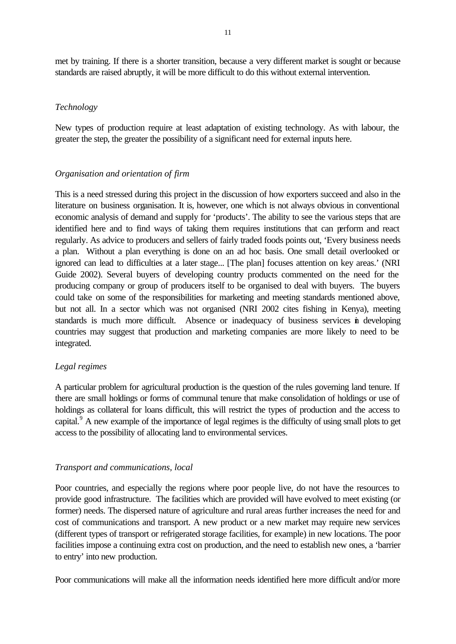met by training. If there is a shorter transition, because a very different market is sought or because standards are raised abruptly, it will be more difficult to do this without external intervention.

### *Technology*

New types of production require at least adaptation of existing technology. As with labour, the greater the step, the greater the possibility of a significant need for external inputs here.

### *Organisation and orientation of firm*

This is a need stressed during this project in the discussion of how exporters succeed and also in the literature on business organisation. It is, however, one which is not always obvious in conventional economic analysis of demand and supply for 'products'. The ability to see the various steps that are identified here and to find ways of taking them requires institutions that can perform and react regularly. As advice to producers and sellers of fairly traded foods points out, 'Every business needs a plan. Without a plan everything is done on an ad hoc basis. One small detail overlooked or ignored can lead to difficulties at a later stage... [The plan] focuses attention on key areas.' (NRI Guide 2002). Several buyers of developing country products commented on the need for the producing company or group of producers itself to be organised to deal with buyers. The buyers could take on some of the responsibilities for marketing and meeting standards mentioned above, but not all. In a sector which was not organised (NRI 2002 cites fishing in Kenya), meeting standards is much more difficult. Absence or inadequacy of business services in developing countries may suggest that production and marketing companies are more likely to need to be integrated.

### *Legal regimes*

A particular problem for agricultural production is the question of the rules governing land tenure. If there are small holdings or forms of communal tenure that make consolidation of holdings or use of holdings as collateral for loans difficult, this will restrict the types of production and the access to capital.<sup>9</sup> A new example of the importance of legal regimes is the difficulty of using small plots to get access to the possibility of allocating land to environmental services.

### *Transport and communications, local*

Poor countries, and especially the regions where poor people live, do not have the resources to provide good infrastructure. The facilities which are provided will have evolved to meet existing (or former) needs. The dispersed nature of agriculture and rural areas further increases the need for and cost of communications and transport. A new product or a new market may require new services (different types of transport or refrigerated storage facilities, for example) in new locations. The poor facilities impose a continuing extra cost on production, and the need to establish new ones, a 'barrier to entry' into new production.

Poor communications will make all the information needs identified here more difficult and/or more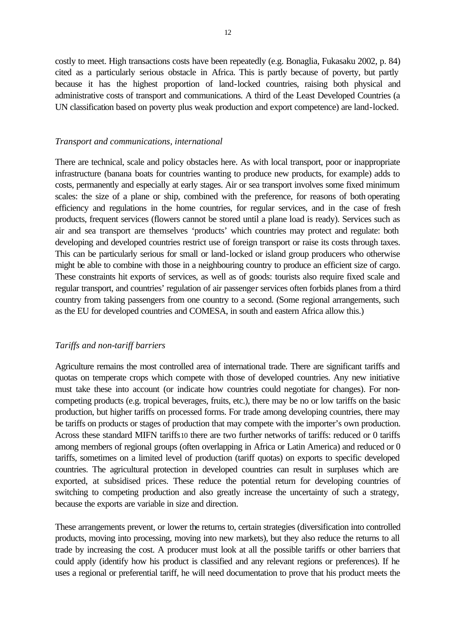costly to meet. High transactions costs have been repeatedly (e.g. Bonaglia, Fukasaku 2002, p. 84) cited as a particularly serious obstacle in Africa. This is partly because of poverty, but partly because it has the highest proportion of land-locked countries, raising both physical and administrative costs of transport and communications. A third of the Least Developed Countries (a UN classification based on poverty plus weak production and export competence) are land-locked.

### *Transport and communications, international*

There are technical, scale and policy obstacles here. As with local transport, poor or inappropriate infrastructure (banana boats for countries wanting to produce new products, for example) adds to costs, permanently and especially at early stages. Air or sea transport involves some fixed minimum scales: the size of a plane or ship, combined with the preference, for reasons of both operating efficiency and regulations in the home countries, for regular services, and in the case of fresh products, frequent services (flowers cannot be stored until a plane load is ready). Services such as air and sea transport are themselves 'products' which countries may protect and regulate: both developing and developed countries restrict use of foreign transport or raise its costs through taxes. This can be particularly serious for small or land-locked or island group producers who otherwise might be able to combine with those in a neighbouring country to produce an efficient size of cargo. These constraints hit exports of services, as well as of goods: tourists also require fixed scale and regular transport, and countries' regulation of air passenger services often forbids planes from a third country from taking passengers from one country to a second. (Some regional arrangements, such as the EU for developed countries and COMESA, in south and eastern Africa allow this.)

#### *Tariffs and non-tariff barriers*

Agriculture remains the most controlled area of international trade. There are significant tariffs and quotas on temperate crops which compete with those of developed countries. Any new initiative must take these into account (or indicate how countries could negotiate for changes). For noncompeting products (e.g. tropical beverages, fruits, etc.), there may be no or low tariffs on the basic production, but higher tariffs on processed forms. For trade among developing countries, there may be tariffs on products or stages of production that may compete with the importer's own production. Across these standard MIFN tariffs10 there are two further networks of tariffs: reduced or 0 tariffs among members of regional groups (often overlapping in Africa or Latin America) and reduced or 0 tariffs, sometimes on a limited level of production (tariff quotas) on exports to specific developed countries. The agricultural protection in developed countries can result in surpluses which are exported, at subsidised prices. These reduce the potential return for developing countries of switching to competing production and also greatly increase the uncertainty of such a strategy, because the exports are variable in size and direction.

These arrangements prevent, or lower the returns to, certain strategies (diversification into controlled products, moving into processing, moving into new markets), but they also reduce the returns to all trade by increasing the cost. A producer must look at all the possible tariffs or other barriers that could apply (identify how his product is classified and any relevant regions or preferences). If he uses a regional or preferential tariff, he will need documentation to prove that his product meets the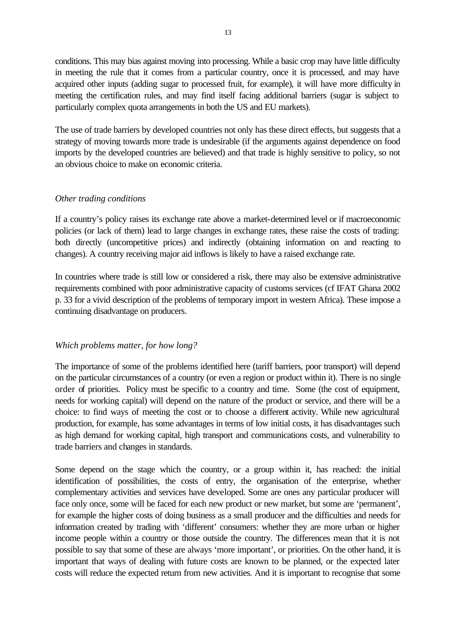conditions. This may bias against moving into processing. While a basic crop may have little difficulty in meeting the rule that it comes from a particular country, once it is processed, and may have acquired other inputs (adding sugar to processed fruit, for example), it will have more difficulty in meeting the certification rules, and may find itself facing additional barriers (sugar is subject to particularly complex quota arrangements in both the US and EU markets).

The use of trade barriers by developed countries not only has these direct effects, but suggests that a strategy of moving towards more trade is undesirable (if the arguments against dependence on food imports by the developed countries are believed) and that trade is highly sensitive to policy, so not an obvious choice to make on economic criteria.

### *Other trading conditions*

If a country's policy raises its exchange rate above a market-determined level or if macroeconomic policies (or lack of them) lead to large changes in exchange rates, these raise the costs of trading: both directly (uncompetitive prices) and indirectly (obtaining information on and reacting to changes). A country receiving major aid inflows is likely to have a raised exchange rate.

In countries where trade is still low or considered a risk, there may also be extensive administrative requirements combined with poor administrative capacity of customs services (cf IFAT Ghana 2002 p. 33 for a vivid description of the problems of temporary import in western Africa). These impose a continuing disadvantage on producers.

### *Which problems matter, for how long?*

The importance of some of the problems identified here (tariff barriers, poor transport) will depend on the particular circumstances of a country (or even a region or product within it). There is no single order of priorities. Policy must be specific to a country and time. Some (the cost of equipment, needs for working capital) will depend on the nature of the product or service, and there will be a choice: to find ways of meeting the cost or to choose a different activity. While new agricultural production, for example, has some advantages in terms of low initial costs, it has disadvantages such as high demand for working capital, high transport and communications costs, and vulnerability to trade barriers and changes in standards.

Some depend on the stage which the country, or a group within it, has reached: the initial identification of possibilities, the costs of entry, the organisation of the enterprise, whether complementary activities and services have developed. Some are ones any particular producer will face only once, some will be faced for each new product or new market, but some are 'permanent', for example the higher costs of doing business as a small producer and the difficulties and needs for information created by trading with 'different' consumers: whether they are more urban or higher income people within a country or those outside the country. The differences mean that it is not possible to say that some of these are always 'more important', or priorities. On the other hand, it is important that ways of dealing with future costs are known to be planned, or the expected later costs will reduce the expected return from new activities. And it is important to recognise that some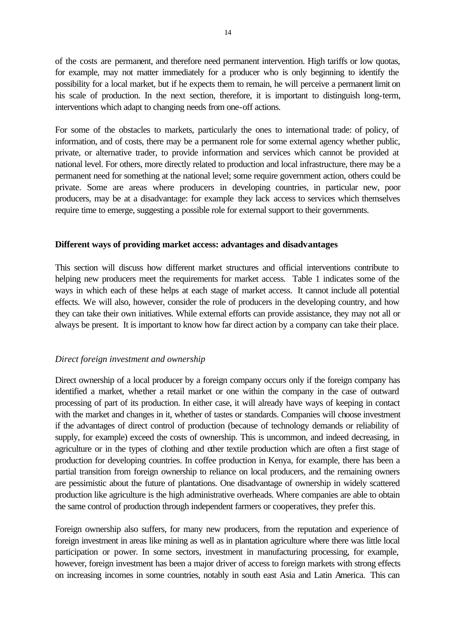of the costs are permanent, and therefore need permanent intervention. High tariffs or low quotas, for example, may not matter immediately for a producer who is only beginning to identify the possibility for a local market, but if he expects them to remain, he will perceive a permanent limit on his scale of production. In the next section, therefore, it is important to distinguish long-term, interventions which adapt to changing needs from one-off actions.

For some of the obstacles to markets, particularly the ones to international trade: of policy, of information, and of costs, there may be a permanent role for some external agency whether public, private, or alternative trader, to provide information and services which cannot be provided at national level. For others, more directly related to production and local infrastructure, there may be a permanent need for something at the national level; some require government action, others could be private. Some are areas where producers in developing countries, in particular new, poor producers, may be at a disadvantage: for example they lack access to services which themselves require time to emerge, suggesting a possible role for external support to their governments.

### **Different ways of providing market access: advantages and disadvantages**

This section will discuss how different market structures and official interventions contribute to helping new producers meet the requirements for market access. Table 1 indicates some of the ways in which each of these helps at each stage of market access. It cannot include all potential effects. We will also, however, consider the role of producers in the developing country, and how they can take their own initiatives. While external efforts can provide assistance, they may not all or always be present. It is important to know how far direct action by a company can take their place.

### *Direct foreign investment and ownership*

Direct ownership of a local producer by a foreign company occurs only if the foreign company has identified a market, whether a retail market or one within the company in the case of outward processing of part of its production. In either case, it will already have ways of keeping in contact with the market and changes in it, whether of tastes or standards. Companies will choose investment if the advantages of direct control of production (because of technology demands or reliability of supply, for example) exceed the costs of ownership. This is uncommon, and indeed decreasing, in agriculture or in the types of clothing and other textile production which are often a first stage of production for developing countries. In coffee production in Kenya, for example, there has been a partial transition from foreign ownership to reliance on local producers, and the remaining owners are pessimistic about the future of plantations. One disadvantage of ownership in widely scattered production like agriculture is the high administrative overheads. Where companies are able to obtain the same control of production through independent farmers or cooperatives, they prefer this.

Foreign ownership also suffers, for many new producers, from the reputation and experience of foreign investment in areas like mining as well as in plantation agriculture where there was little local participation or power. In some sectors, investment in manufacturing processing, for example, however, foreign investment has been a major driver of access to foreign markets with strong effects on increasing incomes in some countries, notably in south east Asia and Latin America. This can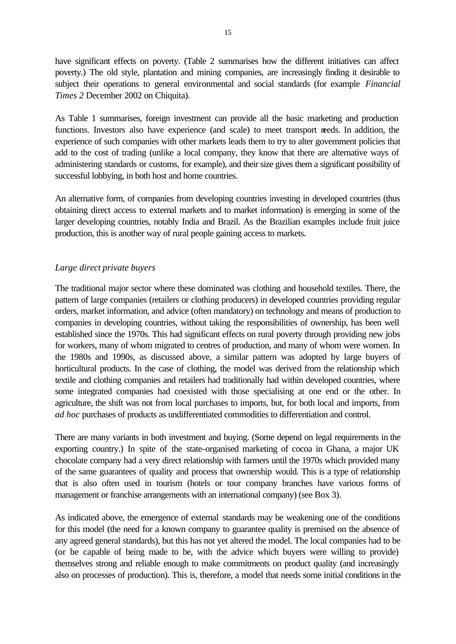have significant effects on poverty. (Table 2 summarises how the different initiatives can affect poverty.) The old style, plantation and mining companies, are increasingly finding it desirable to subject their operations to general environmental and social standards (for example *Financial Times 2* December 2002 on Chiquita).

As Table 1 summarises, foreign investment can provide all the basic marketing and production functions. Investors also have experience (and scale) to meet transport needs. In addition, the experience of such companies with other markets leads them to try to alter government policies that add to the cost of trading (unlike a local company, they know that there are alternative ways of administering standards or customs, for example), and their size gives them a significant possibility of successful lobbying, in both host and home countries.

An alternative form, of companies from developing countries investing in developed countries (thus obtaining direct access to external markets and to market information) is emerging in some of the larger developing countries, notably India and Brazil. As the Brazilian examples include fruit juice production, this is another way of rural people gaining access to markets.

### *Large direct private buyers*

The traditional major sector where these dominated was clothing and household textiles. There, the pattern of large companies (retailers or clothing producers) in developed countries providing regular orders, market information, and advice (often mandatory) on technology and means of production to companies in developing countries, without taking the responsibilities of ownership, has been well established since the 1970s. This had significant effects on rural poverty through providing new jobs for workers, many of whom migrated to centres of production, and many of whom were women. In the 1980s and 1990s, as discussed above, a similar pattern was adopted by large buyers of horticultural products. In the case of clothing, the model was derived from the relationship which textile and clothing companies and retailers had traditionally had within developed countries, where some integrated companies had coexisted with those specialising at one end or the other. In agriculture, the shift was not from local purchases to imports, but, for both local and imports, from *ad hoc* purchases of products as undifferentiated commodities to differentiation and control.

There are many variants in both investment and buying. (Some depend on legal requirements in the exporting country.) In spite of the state-organised marketing of cocoa in Ghana, a major UK chocolate company had a very direct relationship with farmers until the 1970s which provided many of the same guarantees of quality and process that ownership would. This is a type of relationship that is also often used in tourism (hotels or tour company branches have various forms of management or franchise arrangements with an international company) (see Box 3).

As indicated above, the emergence of external standards may be weakening one of the conditions for this model (the need for a known company to guarantee quality is premised on the absence of any agreed general standards), but this has not yet altered the model. The local companies had to be (or be capable of being made to be, with the advice which buyers were willing to provide) themselves strong and reliable enough to make commitments on product quality (and increasingly also on processes of production). This is, therefore, a model that needs some initial conditions in the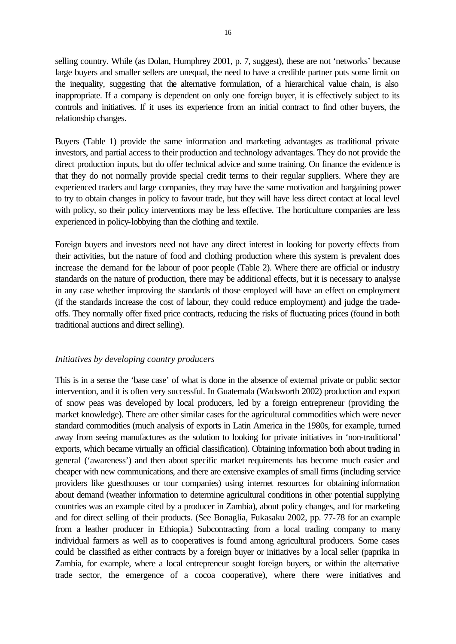selling country. While (as Dolan, Humphrey 2001, p. 7, suggest), these are not 'networks' because large buyers and smaller sellers are unequal, the need to have a credible partner puts some limit on the inequality, suggesting that the alternative formulation, of a hierarchical value chain, is also inappropriate. If a company is dependent on only one foreign buyer, it is effectively subject to its controls and initiatives. If it uses its experience from an initial contract to find other buyers, the relationship changes.

Buyers (Table 1) provide the same information and marketing advantages as traditional private investors, and partial access to their production and technology advantages. They do not provide the direct production inputs, but do offer technical advice and some training. On finance the evidence is that they do not normally provide special credit terms to their regular suppliers. Where they are experienced traders and large companies, they may have the same motivation and bargaining power to try to obtain changes in policy to favour trade, but they will have less direct contact at local level with policy, so their policy interventions may be less effective. The horticulture companies are less experienced in policy-lobbying than the clothing and textile.

Foreign buyers and investors need not have any direct interest in looking for poverty effects from their activities, but the nature of food and clothing production where this system is prevalent does increase the demand for the labour of poor people (Table 2). Where there are official or industry standards on the nature of production, there may be additional effects, but it is necessary to analyse in any case whether improving the standards of those employed will have an effect on employment (if the standards increase the cost of labour, they could reduce employment) and judge the tradeoffs. They normally offer fixed price contracts, reducing the risks of fluctuating prices (found in both traditional auctions and direct selling).

### *Initiatives by developing country producers*

This is in a sense the 'base case' of what is done in the absence of external private or public sector intervention, and it is often very successful. In Guatemala (Wadsworth 2002) production and export of snow peas was developed by local producers, led by a foreign entrepreneur (providing the market knowledge). There are other similar cases for the agricultural commodities which were never standard commodities (much analysis of exports in Latin America in the 1980s, for example, turned away from seeing manufactures as the solution to looking for private initiatives in 'non-traditional' exports, which became virtually an official classification). Obtaining information both about trading in general ('awareness') and then about specific market requirements has become much easier and cheaper with new communications, and there are extensive examples of small firms (including service providers like guesthouses or tour companies) using internet resources for obtaining information about demand (weather information to determine agricultural conditions in other potential supplying countries was an example cited by a producer in Zambia), about policy changes, and for marketing and for direct selling of their products. (See Bonaglia, Fukasaku 2002, pp. 77-78 for an example from a leather producer in Ethiopia.) Subcontracting from a local trading company to many individual farmers as well as to cooperatives is found among agricultural producers. Some cases could be classified as either contracts by a foreign buyer or initiatives by a local seller (paprika in Zambia, for example, where a local entrepreneur sought foreign buyers, or within the alternative trade sector, the emergence of a cocoa cooperative), where there were initiatives and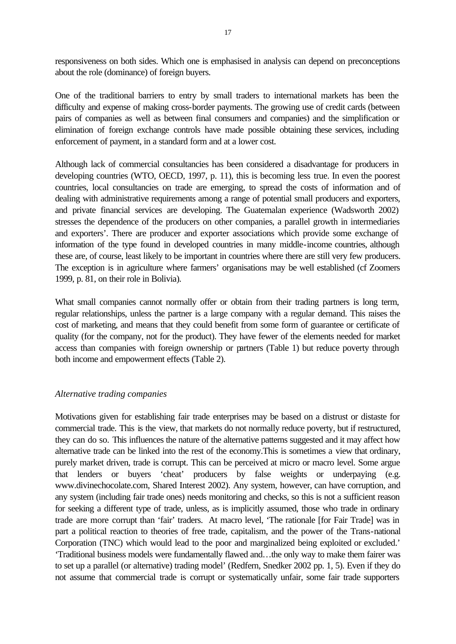responsiveness on both sides. Which one is emphasised in analysis can depend on preconceptions about the role (dominance) of foreign buyers.

One of the traditional barriers to entry by small traders to international markets has been the difficulty and expense of making cross-border payments. The growing use of credit cards (between pairs of companies as well as between final consumers and companies) and the simplification or elimination of foreign exchange controls have made possible obtaining these services, including enforcement of payment, in a standard form and at a lower cost.

Although lack of commercial consultancies has been considered a disadvantage for producers in developing countries (WTO, OECD, 1997, p. 11), this is becoming less true. In even the poorest countries, local consultancies on trade are emerging, to spread the costs of information and of dealing with administrative requirements among a range of potential small producers and exporters, and private financial services are developing. The Guatemalan experience (Wadsworth 2002) stresses the dependence of the producers on other companies, a parallel growth in intermediaries and exporters'. There are producer and exporter associations which provide some exchange of information of the type found in developed countries in many middle-income countries, although these are, of course, least likely to be important in countries where there are still very few producers. The exception is in agriculture where farmers' organisations may be well established (cf Zoomers 1999, p. 81, on their role in Bolivia).

What small companies cannot normally offer or obtain from their trading partners is long term, regular relationships, unless the partner is a large company with a regular demand. This raises the cost of marketing, and means that they could benefit from some form of guarantee or certificate of quality (for the company, not for the product). They have fewer of the elements needed for market access than companies with foreign ownership or partners (Table 1) but reduce poverty through both income and empowerment effects (Table 2).

#### *Alternative trading companies*

Motivations given for establishing fair trade enterprises may be based on a distrust or distaste for commercial trade. This is the view, that markets do not normally reduce poverty, but if restructured, they can do so. This influences the nature of the alternative patterns suggested and it may affect how alternative trade can be linked into the rest of the economy.This is sometimes a view that ordinary, purely market driven, trade is corrupt. This can be perceived at micro or macro level. Some argue that lenders or buyers 'cheat' producers by false weights or underpaying (e.g. www.divinechocolate.com, Shared Interest 2002). Any system, however, can have corruption, and any system (including fair trade ones) needs monitoring and checks, so this is not a sufficient reason for seeking a different type of trade, unless, as is implicitly assumed, those who trade in ordinary trade are more corrupt than 'fair' traders. At macro level, 'The rationale [for Fair Trade] was in part a political reaction to theories of free trade, capitalism, and the power of the Trans-national Corporation (TNC) which would lead to the poor and marginalized being exploited or excluded.' 'Traditional business models were fundamentally flawed and…the only way to make them fairer was to set up a parallel (or alternative) trading model' (Redfern, Snedker 2002 pp. 1, 5). Even if they do not assume that commercial trade is corrupt or systematically unfair, some fair trade supporters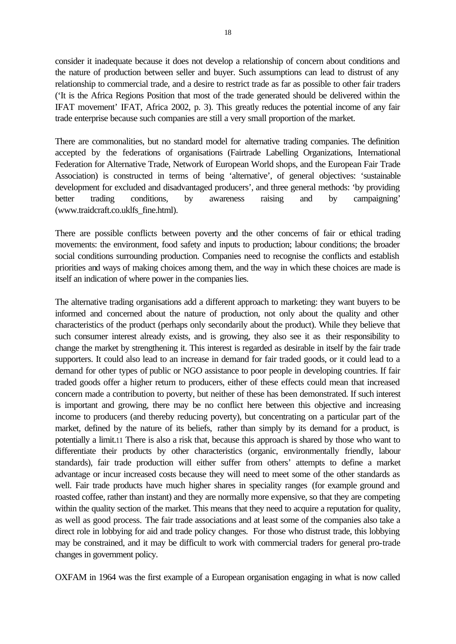consider it inadequate because it does not develop a relationship of concern about conditions and the nature of production between seller and buyer. Such assumptions can lead to distrust of any relationship to commercial trade, and a desire to restrict trade as far as possible to other fair traders ('It is the Africa Regions Position that most of the trade generated should be delivered within the IFAT movement' IFAT, Africa 2002, p. 3). This greatly reduces the potential income of any fair trade enterprise because such companies are still a very small proportion of the market.

There are commonalities, but no standard model for alternative trading companies. The definition accepted by the federations of organisations (Fairtrade Labelling Organizations, International Federation for Alternative Trade, Network of European World shops, and the European Fair Trade Association) is constructed in terms of being 'alternative', of general objectives: 'sustainable development for excluded and disadvantaged producers', and three general methods: 'by providing better trading conditions, by awareness raising and by campaigning' (www.traidcraft.co.uklfs\_fine.html).

There are possible conflicts between poverty and the other concerns of fair or ethical trading movements: the environment, food safety and inputs to production; labour conditions; the broader social conditions surrounding production. Companies need to recognise the conflicts and establish priorities and ways of making choices among them, and the way in which these choices are made is itself an indication of where power in the companies lies.

The alternative trading organisations add a different approach to marketing: they want buyers to be informed and concerned about the nature of production, not only about the quality and other characteristics of the product (perhaps only secondarily about the product). While they believe that such consumer interest already exists, and is growing, they also see it as their responsibility to change the market by strengthening it. This interest is regarded as desirable in itself by the fair trade supporters. It could also lead to an increase in demand for fair traded goods, or it could lead to a demand for other types of public or NGO assistance to poor people in developing countries. If fair traded goods offer a higher return to producers, either of these effects could mean that increased concern made a contribution to poverty, but neither of these has been demonstrated. If such interest is important and growing, there may be no conflict here between this objective and increasing income to producers (and thereby reducing poverty), but concentrating on a particular part of the market, defined by the nature of its beliefs, rather than simply by its demand for a product, is potentially a limit.11 There is also a risk that, because this approach is shared by those who want to differentiate their products by other characteristics (organic, environmentally friendly, labour standards), fair trade production will either suffer from others' attempts to define a market advantage or incur increased costs because they will need to meet some of the other standards as well. Fair trade products have much higher shares in speciality ranges (for example ground and roasted coffee, rather than instant) and they are normally more expensive, so that they are competing within the quality section of the market. This means that they need to acquire a reputation for quality, as well as good process. The fair trade associations and at least some of the companies also take a direct role in lobbying for aid and trade policy changes. For those who distrust trade, this lobbying may be constrained, and it may be difficult to work with commercial traders for general pro-trade changes in government policy.

OXFAM in 1964 was the first example of a European organisation engaging in what is now called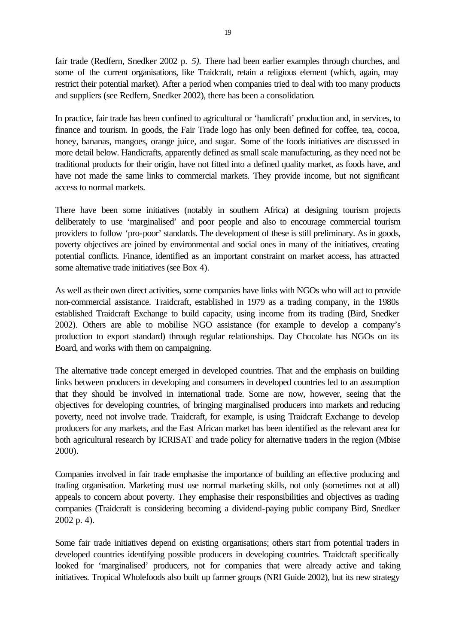fair trade (Redfern, Snedker 2002 p. *5).* There had been earlier examples through churches, and some of the current organisations, like Traidcraft, retain a religious element (which, again, may restrict their potential market). After a period when companies tried to deal with too many products and suppliers (see Redfern, Snedker 2002), there has been a consolidation.

In practice, fair trade has been confined to agricultural or 'handicraft' production and, in services, to finance and tourism. In goods, the Fair Trade logo has only been defined for coffee, tea, cocoa, honey, bananas, mangoes, orange juice, and sugar. Some of the foods initiatives are discussed in more detail below. Handicrafts, apparently defined as small scale manufacturing, as they need not be traditional products for their origin, have not fitted into a defined quality market, as foods have, and have not made the same links to commercial markets. They provide income, but not significant access to normal markets.

There have been some initiatives (notably in southern Africa) at designing tourism projects deliberately to use 'marginalised' and poor people and also to encourage commercial tourism providers to follow 'pro-poor' standards. The development of these is still preliminary. As in goods, poverty objectives are joined by environmental and social ones in many of the initiatives, creating potential conflicts. Finance, identified as an important constraint on market access, has attracted some alternative trade initiatives (see Box 4).

As well as their own direct activities, some companies have links with NGOs who will act to provide non-commercial assistance. Traidcraft, established in 1979 as a trading company, in the 1980s established Traidcraft Exchange to build capacity, using income from its trading (Bird, Snedker 2002). Others are able to mobilise NGO assistance (for example to develop a company's production to export standard) through regular relationships. Day Chocolate has NGOs on its Board, and works with them on campaigning.

The alternative trade concept emerged in developed countries. That and the emphasis on building links between producers in developing and consumers in developed countries led to an assumption that they should be involved in international trade. Some are now, however, seeing that the objectives for developing countries, of bringing marginalised producers into markets and reducing poverty, need not involve trade. Traidcraft, for example, is using Traidcraft Exchange to develop producers for any markets, and the East African market has been identified as the relevant area for both agricultural research by ICRISAT and trade policy for alternative traders in the region (Mbise 2000).

Companies involved in fair trade emphasise the importance of building an effective producing and trading organisation. Marketing must use normal marketing skills, not only (sometimes not at all) appeals to concern about poverty. They emphasise their responsibilities and objectives as trading companies (Traidcraft is considering becoming a dividend-paying public company Bird, Snedker 2002 p. 4).

Some fair trade initiatives depend on existing organisations; others start from potential traders in developed countries identifying possible producers in developing countries. Traidcraft specifically looked for 'marginalised' producers, not for companies that were already active and taking initiatives. Tropical Wholefoods also built up farmer groups (NRI Guide 2002), but its new strategy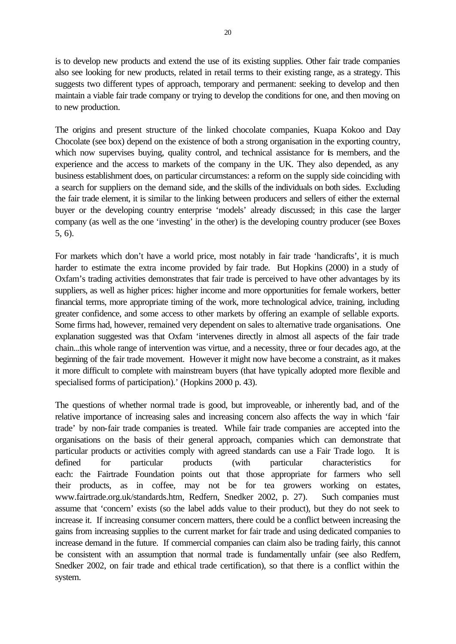is to develop new products and extend the use of its existing supplies. Other fair trade companies also see looking for new products, related in retail terms to their existing range, as a strategy. This suggests two different types of approach, temporary and permanent: seeking to develop and then maintain a viable fair trade company or trying to develop the conditions for one, and then moving on to new production.

The origins and present structure of the linked chocolate companies, Kuapa Kokoo and Day Chocolate (see box) depend on the existence of both a strong organisation in the exporting country, which now supervises buying, quality control, and technical assistance for is members, and the experience and the access to markets of the company in the UK. They also depended, as any business establishment does, on particular circumstances: a reform on the supply side coinciding with a search for suppliers on the demand side, and the skills of the individuals on both sides. Excluding the fair trade element, it is similar to the linking between producers and sellers of either the external buyer or the developing country enterprise 'models' already discussed; in this case the larger company (as well as the one 'investing' in the other) is the developing country producer (see Boxes 5, 6).

For markets which don't have a world price, most notably in fair trade 'handicrafts', it is much harder to estimate the extra income provided by fair trade. But Hopkins (2000) in a study of Oxfam's trading activities demonstrates that fair trade is perceived to have other advantages by its suppliers, as well as higher prices: higher income and more opportunities for female workers, better financial terms, more appropriate timing of the work, more technological advice, training, including greater confidence, and some access to other markets by offering an example of sellable exports. Some firms had, however, remained very dependent on sales to alternative trade organisations. One explanation suggested was that Oxfam 'intervenes directly in almost all aspects of the fair trade chain...this whole range of intervention was virtue, and a necessity, three or four decades ago, at the beginning of the fair trade movement. However it might now have become a constraint, as it makes it more difficult to complete with mainstream buyers (that have typically adopted more flexible and specialised forms of participation).' (Hopkins 2000 p. 43).

The questions of whether normal trade is good, but improveable, or inherently bad, and of the relative importance of increasing sales and increasing concern also affects the way in which 'fair trade' by non-fair trade companies is treated. While fair trade companies are accepted into the organisations on the basis of their general approach, companies which can demonstrate that particular products or activities comply with agreed standards can use a Fair Trade logo. It is defined for particular products (with particular characteristics for each: the Fairtrade Foundation points out that those appropriate for farmers who sell their products, as in coffee, may not be for tea growers working on estates, www.fairtrade.org.uk/standards.htm, Redfern, Snedker 2002, p. 27). Such companies must assume that 'concern' exists (so the label adds value to their product), but they do not seek to increase it. If increasing consumer concern matters, there could be a conflict between increasing the gains from increasing supplies to the current market for fair trade and using dedicated companies to increase demand in the future. If commercial companies can claim also be trading fairly, this cannot be consistent with an assumption that normal trade is fundamentally unfair (see also Redfern, Snedker 2002, on fair trade and ethical trade certification), so that there is a conflict within the system.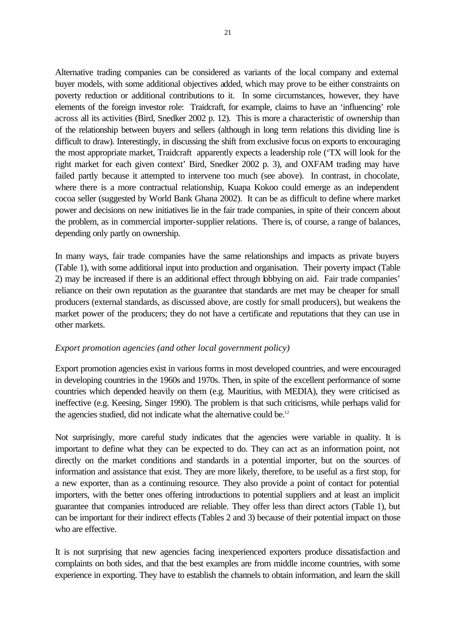Alternative trading companies can be considered as variants of the local company and external buyer models, with some additional objectives added, which may prove to be either constraints on poverty reduction or additional contributions to it. In some circumstances, however, they have elements of the foreign investor role: Traidcraft, for example, claims to have an 'influencing' role across all its activities (Bird, Snedker 2002 p. 12). This is more a characteristic of ownership than of the relationship between buyers and sellers (although in long term relations this dividing line is difficult to draw). Interestingly, in discussing the shift from exclusive focus on exports to encouraging the most appropriate market, Traidcraft apparently expects a leadership role ('TX will look for the right market for each given context' Bird, Snedker 2002 p. 3), and OXFAM trading may have failed partly because it attempted to intervene too much (see above). In contrast, in chocolate, where there is a more contractual relationship, Kuapa Kokoo could emerge as an independent cocoa seller (suggested by World Bank Ghana 2002). It can be as difficult to define where market power and decisions on new initiatives lie in the fair trade companies, in spite of their concern about the problem, as in commercial importer-supplier relations. There is, of course, a range of balances, depending only partly on ownership.

In many ways, fair trade companies have the same relationships and impacts as private buyers (Table 1), with some additional input into production and organisation. Their poverty impact (Table 2) may be increased if there is an additional effect through lobbying on aid. Fair trade companies' reliance on their own reputation as the guarantee that standards are met may be cheaper for small producers (external standards, as discussed above, are costly for small producers), but weakens the market power of the producers; they do not have a certificate and reputations that they can use in other markets.

### *Export promotion agencies (and other local government policy)*

Export promotion agencies exist in various forms in most developed countries, and were encouraged in developing countries in the 1960s and 1970s. Then, in spite of the excellent performance of some countries which depended heavily on them (e.g. Mauritius, with MEDIA), they were criticised as ineffective (e.g. Keesing, Singer 1990). The problem is that such criticisms, while perhaps valid for the agencies studied, did not indicate what the alternative could be.<sup>12</sup>

Not surprisingly, more careful study indicates that the agencies were variable in quality. It is important to define what they can be expected to do. They can act as an information point, not directly on the market conditions and standards in a potential importer, but on the sources of information and assistance that exist. They are more likely, therefore, to be useful as a first stop, for a new exporter, than as a continuing resource. They also provide a point of contact for potential importers, with the better ones offering introductions to potential suppliers and at least an implicit guarantee that companies introduced are reliable. They offer less than direct actors (Table 1), but can be important for their indirect effects (Tables 2 and 3) because of their potential impact on those who are effective.

It is not surprising that new agencies facing inexperienced exporters produce dissatisfaction and complaints on both sides, and that the best examples are from middle income countries, with some experience in exporting. They have to establish the channels to obtain information, and learn the skill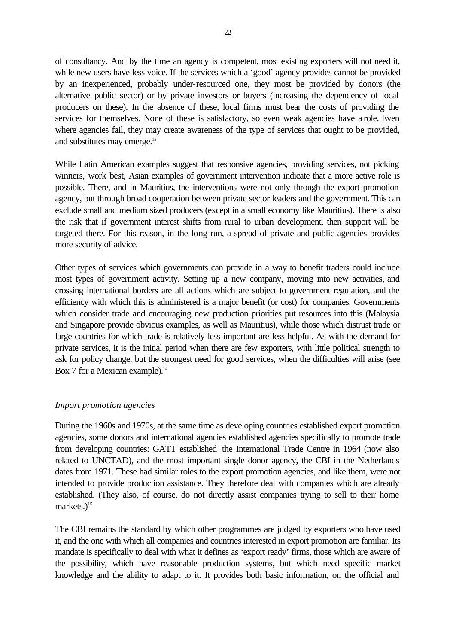of consultancy. And by the time an agency is competent, most existing exporters will not need it, while new users have less voice. If the services which a 'good' agency provides cannot be provided by an inexperienced, probably under-resourced one, they most be provided by donors (the alternative public sector) or by private investors or buyers (increasing the dependency of local producers on these). In the absence of these, local firms must bear the costs of providing the services for themselves. None of these is satisfactory, so even weak agencies have a role. Even where agencies fail, they may create awareness of the type of services that ought to be provided, and substitutes may emerge.<sup>13</sup>

While Latin American examples suggest that responsive agencies, providing services, not picking winners, work best, Asian examples of government intervention indicate that a more active role is possible. There, and in Mauritius, the interventions were not only through the export promotion agency, but through broad cooperation between private sector leaders and the government. This can exclude small and medium sized producers (except in a small economy like Mauritius). There is also the risk that if government interest shifts from rural to urban development, then support will be targeted there. For this reason, in the long run, a spread of private and public agencies provides more security of advice.

Other types of services which governments can provide in a way to benefit traders could include most types of government activity. Setting up a new company, moving into new activities, and crossing international borders are all actions which are subject to government regulation, and the efficiency with which this is administered is a major benefit (or cost) for companies. Governments which consider trade and encouraging new production priorities put resources into this (Malaysia and Singapore provide obvious examples, as well as Mauritius), while those which distrust trade or large countries for which trade is relatively less important are less helpful. As with the demand for private services, it is the initial period when there are few exporters, with little political strength to ask for policy change, but the strongest need for good services, when the difficulties will arise (see Box 7 for a Mexican example).<sup>14</sup>

### *Import promotion agencies*

During the 1960s and 1970s, at the same time as developing countries established export promotion agencies, some donors and international agencies established agencies specifically to promote trade from developing countries: GATT established the International Trade Centre in 1964 (now also related to UNCTAD), and the most important single donor agency, the CBI in the Netherlands dates from 1971. These had similar roles to the export promotion agencies, and like them, were not intended to provide production assistance. They therefore deal with companies which are already established. (They also, of course, do not directly assist companies trying to sell to their home markets. $)^{15}$ 

The CBI remains the standard by which other programmes are judged by exporters who have used it, and the one with which all companies and countries interested in export promotion are familiar. Its mandate is specifically to deal with what it defines as 'export ready' firms, those which are aware of the possibility, which have reasonable production systems, but which need specific market knowledge and the ability to adapt to it. It provides both basic information, on the official and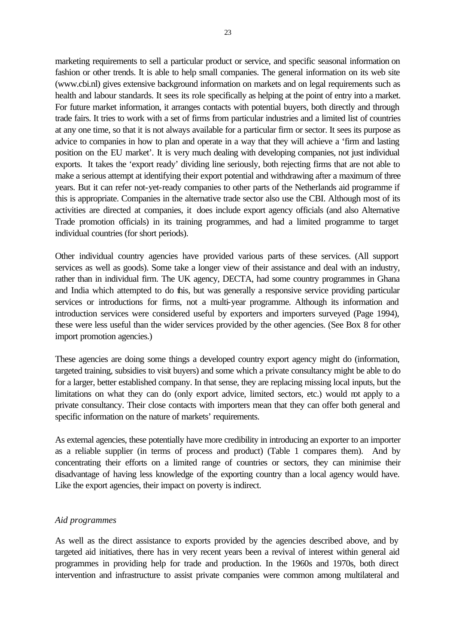marketing requirements to sell a particular product or service, and specific seasonal information on fashion or other trends. It is able to help small companies. The general information on its web site (www.cbi.nl) gives extensive background information on markets and on legal requirements such as health and labour standards. It sees its role specifically as helping at the point of entry into a market. For future market information, it arranges contacts with potential buyers, both directly and through trade fairs. It tries to work with a set of firms from particular industries and a limited list of countries at any one time, so that it is not always available for a particular firm or sector. It sees its purpose as advice to companies in how to plan and operate in a way that they will achieve a 'firm and lasting position on the EU market'. It is very much dealing with developing companies, not just individual exports. It takes the 'export ready' dividing line seriously, both rejecting firms that are not able to make a serious attempt at identifying their export potential and withdrawing after a maximum of three years. But it can refer not-yet-ready companies to other parts of the Netherlands aid programme if this is appropriate. Companies in the alternative trade sector also use the CBI. Although most of its activities are directed at companies, it does include export agency officials (and also Alternative Trade promotion officials) in its training programmes, and had a limited programme to target individual countries (for short periods).

Other individual country agencies have provided various parts of these services. (All support services as well as goods). Some take a longer view of their assistance and deal with an industry, rather than in individual firm. The UK agency, DECTA, had some country programmes in Ghana and India which attempted to do this, but was generally a responsive service providing particular services or introductions for firms, not a multi-year programme. Although its information and introduction services were considered useful by exporters and importers surveyed (Page 1994), these were less useful than the wider services provided by the other agencies. (See Box 8 for other import promotion agencies.)

These agencies are doing some things a developed country export agency might do (information, targeted training, subsidies to visit buyers) and some which a private consultancy might be able to do for a larger, better established company. In that sense, they are replacing missing local inputs, but the limitations on what they can do (only export advice, limited sectors, etc.) would not apply to a private consultancy. Their close contacts with importers mean that they can offer both general and specific information on the nature of markets' requirements.

As external agencies, these potentially have more credibility in introducing an exporter to an importer as a reliable supplier (in terms of process and product) (Table 1 compares them). And by concentrating their efforts on a limited range of countries or sectors, they can minimise their disadvantage of having less knowledge of the exporting country than a local agency would have. Like the export agencies, their impact on poverty is indirect.

### *Aid programmes*

As well as the direct assistance to exports provided by the agencies described above, and by targeted aid initiatives, there has in very recent years been a revival of interest within general aid programmes in providing help for trade and production. In the 1960s and 1970s, both direct intervention and infrastructure to assist private companies were common among multilateral and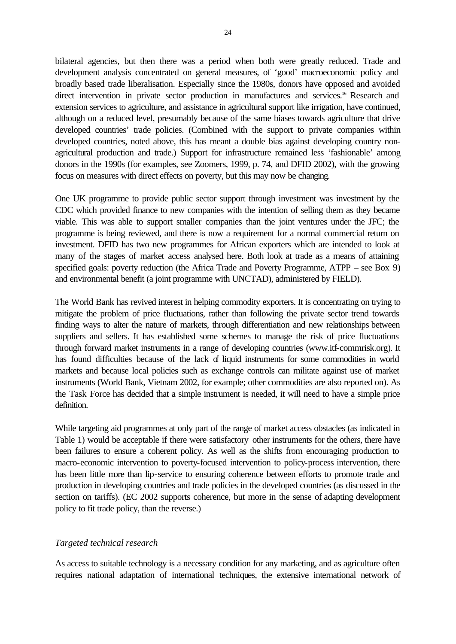bilateral agencies, but then there was a period when both were greatly reduced. Trade and development analysis concentrated on general measures, of 'good' macroeconomic policy and broadly based trade liberalisation. Especially since the 1980s, donors have opposed and avoided direct intervention in private sector production in manufactures and services.<sup>16</sup> Research and extension services to agriculture, and assistance in agricultural support like irrigation, have continued, although on a reduced level, presumably because of the same biases towards agriculture that drive developed countries' trade policies. (Combined with the support to private companies within developed countries, noted above, this has meant a double bias against developing country nonagricultural production and trade.) Support for infrastructure remained less 'fashionable' among donors in the 1990s (for examples, see Zoomers, 1999, p. 74, and DFID 2002), with the growing focus on measures with direct effects on poverty, but this may now be changing.

One UK programme to provide public sector support through investment was investment by the CDC which provided finance to new companies with the intention of selling them as they became viable. This was able to support smaller companies than the joint ventures under the JFC; the programme is being reviewed, and there is now a requirement for a normal commercial return on investment. DFID has two new programmes for African exporters which are intended to look at many of the stages of market access analysed here. Both look at trade as a means of attaining specified goals: poverty reduction (the Africa Trade and Poverty Programme, ATPP – see Box 9) and environmental benefit (a joint programme with UNCTAD), administered by FIELD).

The World Bank has revived interest in helping commodity exporters. It is concentrating on trying to mitigate the problem of price fluctuations, rather than following the private sector trend towards finding ways to alter the nature of markets, through differentiation and new relationships between suppliers and sellers. It has established some schemes to manage the risk of price fluctuations through forward market instruments in a range of developing countries (www.itf-commrisk.org). It has found difficulties because of the lack of liquid instruments for some commodities in world markets and because local policies such as exchange controls can militate against use of market instruments (World Bank, Vietnam 2002, for example; other commodities are also reported on). As the Task Force has decided that a simple instrument is needed, it will need to have a simple price definition.

While targeting aid programmes at only part of the range of market access obstacles (as indicated in Table 1) would be acceptable if there were satisfactory other instruments for the others, there have been failures to ensure a coherent policy. As well as the shifts from encouraging production to macro-economic intervention to poverty-focused intervention to policy-process intervention, there has been little more than lip-service to ensuring coherence between efforts to promote trade and production in developing countries and trade policies in the developed countries (as discussed in the section on tariffs). (EC 2002 supports coherence, but more in the sense of adapting development policy to fit trade policy, than the reverse.)

### *Targeted technical research*

As access to suitable technology is a necessary condition for any marketing, and as agriculture often requires national adaptation of international techniques, the extensive international network of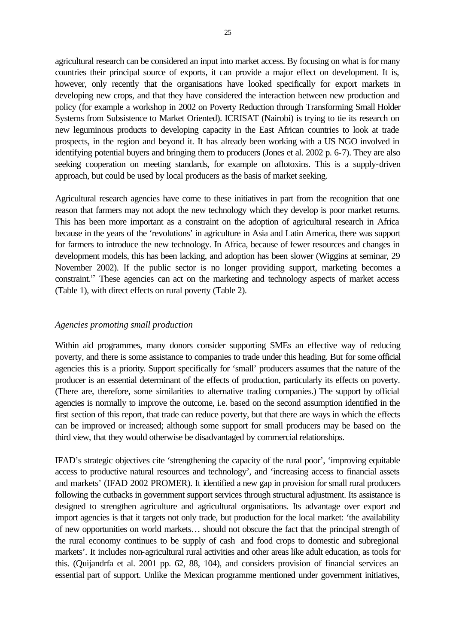agricultural research can be considered an input into market access. By focusing on what is for many countries their principal source of exports, it can provide a major effect on development. It is, however, only recently that the organisations have looked specifically for export markets in developing new crops, and that they have considered the interaction between new production and policy (for example a workshop in 2002 on Poverty Reduction through Transforming Small Holder Systems from Subsistence to Market Oriented). ICRISAT (Nairobi) is trying to tie its research on new leguminous products to developing capacity in the East African countries to look at trade prospects, in the region and beyond it. It has already been working with a US NGO involved in identifying potential buyers and bringing them to producers (Jones et al. 2002 p. 6-7). They are also seeking cooperation on meeting standards, for example on aflotoxins. This is a supply-driven approach, but could be used by local producers as the basis of market seeking.

Agricultural research agencies have come to these initiatives in part from the recognition that one reason that farmers may not adopt the new technology which they develop is poor market returns. This has been more important as a constraint on the adoption of agricultural research in Africa because in the years of the 'revolutions' in agriculture in Asia and Latin America, there was support for farmers to introduce the new technology. In Africa, because of fewer resources and changes in development models, this has been lacking, and adoption has been slower (Wiggins at seminar, 29 November 2002). If the public sector is no longer providing support, marketing becomes a constraint.17 These agencies can act on the marketing and technology aspects of market access (Table 1), with direct effects on rural poverty (Table 2).

### *Agencies promoting small production*

Within aid programmes, many donors consider supporting SMEs an effective way of reducing poverty, and there is some assistance to companies to trade under this heading. But for some official agencies this is a priority. Support specifically for 'small' producers assumes that the nature of the producer is an essential determinant of the effects of production, particularly its effects on poverty. (There are, therefore, some similarities to alternative trading companies.) The support by official agencies is normally to improve the outcome, i.e. based on the second assumption identified in the first section of this report, that trade can reduce poverty, but that there are ways in which the effects can be improved or increased; although some support for small producers may be based on the third view, that they would otherwise be disadvantaged by commercial relationships.

IFAD's strategic objectives cite 'strengthening the capacity of the rural poor', 'improving equitable access to productive natural resources and technology', and 'increasing access to financial assets and markets' (IFAD 2002 PROMER). It identified a new gap in provision for small rural producers following the cutbacks in government support services through structural adjustment. Its assistance is designed to strengthen agriculture and agricultural organisations. Its advantage over export and import agencies is that it targets not only trade, but production for the local market: 'the availability of new opportunities on world markets… should not obscure the fact that the principal strength of the rural economy continues to be supply of cash and food crops to domestic and subregional markets'. It includes non-agricultural rural activities and other areas like adult education, as tools for this. (Quijandrfa et al. 2001 pp. 62, 88, 104), and considers provision of financial services an essential part of support. Unlike the Mexican programme mentioned under government initiatives,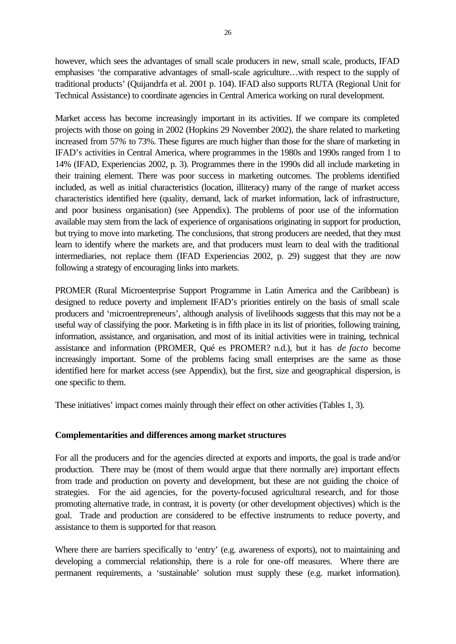however, which sees the advantages of small scale producers in new, small scale, products, IFAD emphasises 'the comparative advantages of small-scale agriculture…with respect to the supply of traditional products' (Quijandrfa et al. 2001 p. 104). IFAD also supports RUTA (Regional Unit for Technical Assistance) to coordinate agencies in Central America working on rural development.

Market access has become increasingly important in its activities. If we compare its completed projects with those on going in 2002 (Hopkins 29 November 2002), the share related to marketing increased from 57*%* to 73%. These figures are much higher than those for the share of marketing in IFAD's activities in Central America, where programmes in the 1980s and 1990s ranged from 1 to 14% (IFAD, Experiencias 2002, p. 3). Programmes there in the 1990s did all include marketing in their training element. There was poor success in marketing outcomes. The problems identified included, as well as initial characteristics (location, illiteracy) many of the range of market access characteristics identified here (quality, demand, lack of market information, lack of infrastructure, and poor business organisation) (see Appendix). The problems of poor use of the information available may stem from the lack of experience of organisations originating in support for production, but trying to move into marketing. The conclusions, that strong producers are needed, that they must learn to identify where the markets are, and that producers must learn to deal with the traditional intermediaries, not replace them (IFAD Experiencias 2002, p. 29) suggest that they are now following a strategy of encouraging links into markets.

PROMER (Rural Microenterprise Support Programme in Latin America and the Caribbean) is designed to reduce poverty and implement IFAD's priorities entirely on the basis of small scale producers and 'microentrepreneurs', although analysis of livelihoods suggests that this may not be a useful way of classifying the poor. Marketing is in fifth place in its list of priorities, following training, information, assistance, and organisation, and most of its initial activities were in training, technical assistance and information (PROMER, Qué es PROMER? n.d.), but it has *de facto* become increasingly important. Some of the problems facing small enterprises are the same as those identified here for market access (see Appendix), but the first, size and geographical dispersion, is one specific to them.

These initiatives' impact comes mainly through their effect on other activities (Tables 1, 3).

### **Complementarities and differences among market structures**

For all the producers and for the agencies directed at exports and imports, the goal is trade and/or production. There may be (most of them would argue that there normally are) important effects from trade and production on poverty and development, but these are not guiding the choice of strategies. For the aid agencies, for the poverty-focused agricultural research, and for those promoting alternative trade, in contrast, it is poverty (or other development objectives) which is the goal. Trade and production are considered to be effective instruments to reduce poverty, and assistance to them is supported for that reason.

Where there are barriers specifically to 'entry' (e.g. awareness of exports), not to maintaining and developing a commercial relationship, there is a role for one-off measures. Where there are permanent requirements, a 'sustainable' solution must supply these (e.g. market information).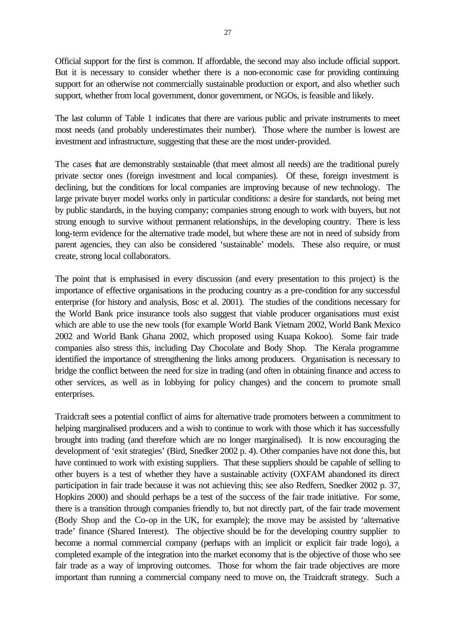Official support for the first is common. If affordable, the second may also include official support. But it is necessary to consider whether there is a non-economic case for providing continuing support for an otherwise not commercially sustainable production or export, and also whether such support, whether from local government, donor government, or NGOs, is feasible and likely.

The last column of Table 1 indicates that there are various public and private instruments to meet most needs (and probably underestimates their number). Those where the number is lowest are investment and infrastructure, suggesting that these are the most under-provided.

The cases that are demonstrably sustainable (that meet almost all needs) are the traditional purely private sector ones (foreign investment and local companies). Of these, foreign investment is declining, but the conditions for local companies are improving because of new technology. The large private buyer model works only in particular conditions: a desire for standards, not being met by public standards, in the buying company; companies strong enough to work with buyers, but not strong enough to survive without permanent relationships, in the developing country. There is less long-term evidence for the alternative trade model, but where these are not in need of subsidy from parent agencies, they can also be considered 'sustainable' models. These also require, or must create, strong local collaborators.

The point that is emphasised in every discussion (and every presentation to this project) is the importance of effective organisations in the producing country as a pre-condition for any successful enterprise (for history and analysis, Bosc et al. 2001). The studies of the conditions necessary for the World Bank price insurance tools also suggest that viable producer organisations must exist which are able to use the new tools (for example World Bank Vietnam 2002, World Bank Mexico 2002 and World Bank Ghana 2002, which proposed using Kuapa Kokoo). Some fair trade companies also stress this, including Day Chocolate and Body Shop. The Kerala programme identified the importance of strengthening the links among producers. Organisation is necessary to bridge the conflict between the need for size in trading (and often in obtaining finance and access to other services, as well as in lobbying for policy changes) and the concern to promote small enterprises.

Traidcraft sees a potential conflict of aims for alternative trade promoters between a commitment to helping marginalised producers and a wish to continue to work with those which it has successfully brought into trading (and therefore which are no longer marginalised). It is now encouraging the development of 'exit strategies' (Bird, Snedker 2002 p. 4). Other companies have not done this, but have continued to work with existing suppliers. That these suppliers should be capable of selling to other buyers is a test of whether they have a sustainable activity (OXFAM abandoned its direct participation in fair trade because it was not achieving this; see also Redfern, Snedker 2002 p. 37, Hopkins 2000) and should perhaps be a test of the success of the fair trade initiative. For some, there is a transition through companies friendly to, but not directly part, of the fair trade movement (Body Shop and the Co-op in the UK, for example); the move may be assisted by 'alternative trade' finance (Shared Interest). The objective should be for the developing country supplier to become a normal commercial company (perhaps with an implicit or explicit fair trade logo), a completed example of the integration into the market economy that is the objective of those who see fair trade as a way of improving outcomes. Those for whom the fair trade objectives are more important than running a commercial company need to move on, the Traidcraft strategy. Such a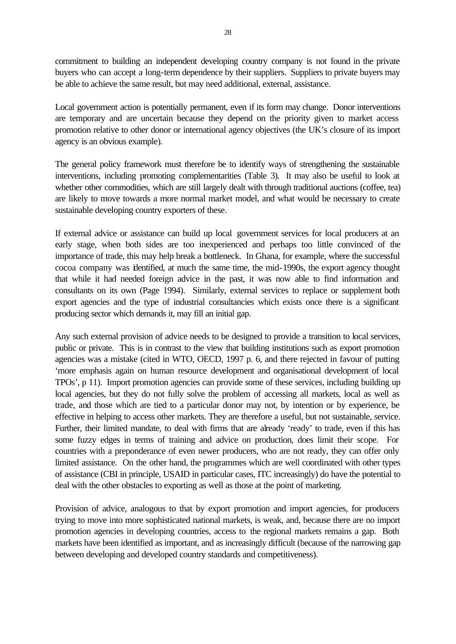commitment to building an independent developing country company is not found in the private buyers who can accept a long-term dependence by their suppliers. Suppliers to private buyers may be able to achieve the same result, but may need additional, external, assistance.

Local government action is potentially permanent, even if its form may change. Donor interventions are temporary and are uncertain because they depend on the priority given to market access promotion relative to other donor or international agency objectives (the UK's closure of its import agency is an obvious example).

The general policy framework must therefore be to identify ways of strengthening the sustainable interventions, including promoting complementarities (Table 3). It may also be useful to look at whether other commodities, which are still largely dealt with through traditional auctions (coffee, tea) are likely to move towards a more normal market model, and what would be necessary to create sustainable developing country exporters of these.

If external advice or assistance can build up local government services for local producers at an early stage, when both sides are too inexperienced and perhaps too little convinced of the importance of trade, this may help break a bottleneck. In Ghana, for example, where the successful cocoa company was identified, at much the same time, the mid-1990s, the export agency thought that while it had needed foreign advice in the past, it was now able to find information and consultants on its own (Page 1994). Similarly, external services to replace or supplement both export agencies and the type of industrial consultancies which exists once there is a significant producing sector which demands it, may fill an initial gap.

Any such external provision of advice needs to be designed to provide a transition to local services, public or private. This is in contrast to the view that building institutions such as export promotion agencies was a mistake (cited in WTO, OECD, 1997 p. 6, and there rejected in favour of putting 'more emphasis again on human resource development and organisational development of local TPOs', p 11). Import promotion agencies can provide some of these services, including building up local agencies, but they do not fully solve the problem of accessing all markets, local as well as trade, and those which are tied to a particular donor may not, by intention or by experience, be effective in helping to access other markets. They are therefore a useful, but not sustainable, service. Further, their limited mandate, to deal with firms that are already 'ready' to trade, even if this has some fuzzy edges in terms of training and advice on production, does limit their scope. For countries with a preponderance of even newer producers, who are not ready, they can offer only limited assistance. On the other hand, the programmes which are well coordinated with other types of assistance (CBI in principle, USAID in particular cases, ITC increasingly) do have the potential to deal with the other obstacles to exporting as well as those at the point of marketing.

Provision of advice, analogous to that by export promotion and import agencies, for producers trying to move into more sophisticated national markets, is weak, and, because there are no import promotion agencies in developing countries, access to the regional markets remains a gap. Both markets have been identified as important, and as increasingly difficult (because of the narrowing gap between developing and developed country standards and competitiveness).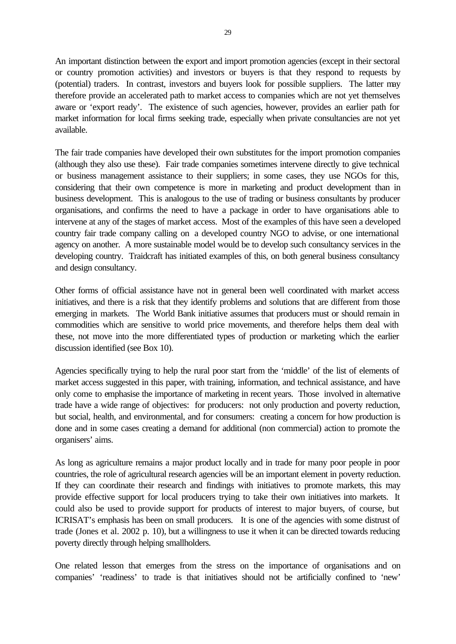An important distinction between the export and import promotion agencies (except in their sectoral or country promotion activities) and investors or buyers is that they respond to requests by (potential) traders. In contrast, investors and buyers look for possible suppliers. The latter may therefore provide an accelerated path to market access to companies which are not yet themselves aware or 'export ready'. The existence of such agencies, however, provides an earlier path for market information for local firms seeking trade, especially when private consultancies are not yet available.

The fair trade companies have developed their own substitutes for the import promotion companies (although they also use these). Fair trade companies sometimes intervene directly to give technical or business management assistance to their suppliers; in some cases, they use NGOs for this, considering that their own competence is more in marketing and product development than in business development. This is analogous to the use of trading or business consultants by producer organisations, and confirms the need to have a package in order to have organisations able to intervene at any of the stages of market access. Most of the examples of this have seen a developed country fair trade company calling on a developed country NGO to advise, or one international agency on another. A more sustainable model would be to develop such consultancy services in the developing country. Traidcraft has initiated examples of this, on both general business consultancy and design consultancy.

Other forms of official assistance have not in general been well coordinated with market access initiatives, and there is a risk that they identify problems and solutions that are different from those emerging in markets. The World Bank initiative assumes that producers must or should remain in commodities which are sensitive to world price movements, and therefore helps them deal with these, not move into the more differentiated types of production or marketing which the earlier discussion identified (see Box 10).

Agencies specifically trying to help the rural poor start from the 'middle' of the list of elements of market access suggested in this paper, with training, information, and technical assistance, and have only come to emphasise the importance of marketing in recent years. Those involved in alternative trade have a wide range of objectives: for producers: not only production and poverty reduction, but social, health, and environmental, and for consumers: creating a concern for how production is done and in some cases creating a demand for additional (non commercial) action to promote the organisers' aims.

As long as agriculture remains a major product locally and in trade for many poor people in poor countries, the role of agricultural research agencies will be an important element in poverty reduction. If they can coordinate their research and findings with initiatives to promote markets, this may provide effective support for local producers trying to take their own initiatives into markets. It could also be used to provide support for products of interest to major buyers, of course, but ICRISAT's emphasis has been on small producers. It is one of the agencies with some distrust of trade (Jones et al. 2002 p. 10), but a willingness to use it when it can be directed towards reducing poverty directly through helping smallholders.

One related lesson that emerges from the stress on the importance of organisations and on companies' 'readiness' to trade is that initiatives should not be artificially confined to 'new'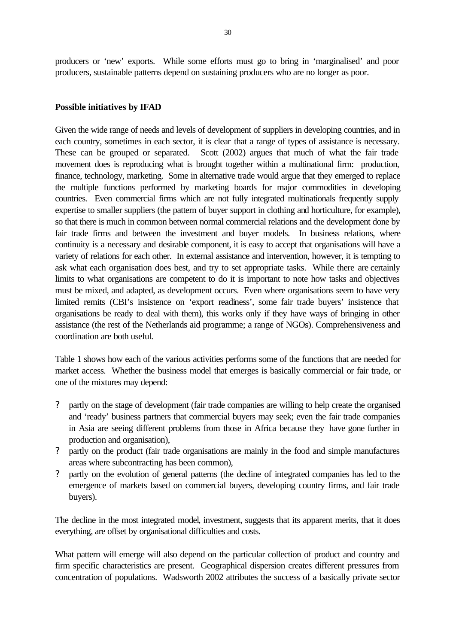producers or 'new' exports. While some efforts must go to bring in 'marginalised' and poor producers, sustainable patterns depend on sustaining producers who are no longer as poor.

### **Possible initiatives by IFAD**

Given the wide range of needs and levels of development of suppliers in developing countries, and in each country, sometimes in each sector, it is clear that a range of types of assistance is necessary. These can be grouped or separated. Scott (2002) argues that much of what the fair trade movement does is reproducing what is brought together within a multinational firm: production, finance, technology, marketing. Some in alternative trade would argue that they emerged to replace the multiple functions performed by marketing boards for major commodities in developing countries. Even commercial firms which are not fully integrated multinationals frequently supply expertise to smaller suppliers (the pattern of buyer support in clothing and horticulture, for example), so that there is much in common between normal commercial relations and the development done by fair trade firms and between the investment and buyer models. In business relations, where continuity is a necessary and desirable component, it is easy to accept that organisations will have a variety of relations for each other. In external assistance and intervention, however, it is tempting to ask what each organisation does best, and try to set appropriate tasks. While there are certainly limits to what organisations are competent to do it is important to note how tasks and objectives must be mixed, and adapted, as development occurs. Even where organisations seem to have very limited remits (CBI's insistence on 'export readiness', some fair trade buyers' insistence that organisations be ready to deal with them), this works only if they have ways of bringing in other assistance (the rest of the Netherlands aid programme; a range of NGOs). Comprehensiveness and coordination are both useful.

Table 1 shows how each of the various activities performs some of the functions that are needed for market access. Whether the business model that emerges is basically commercial or fair trade, or one of the mixtures may depend:

- ? partly on the stage of development (fair trade companies are willing to help create the organised and 'ready' business partners that commercial buyers may seek; even the fair trade companies in Asia are seeing different problems from those in Africa because they have gone further in production and organisation),
- ? partly on the product (fair trade organisations are mainly in the food and simple manufactures areas where subcontracting has been common),
- ? partly on the evolution of general patterns (the decline of integrated companies has led to the emergence of markets based on commercial buyers, developing country firms, and fair trade buyers).

The decline in the most integrated model, investment, suggests that its apparent merits, that it does everything, are offset by organisational difficulties and costs.

What pattern will emerge will also depend on the particular collection of product and country and firm specific characteristics are present. Geographical dispersion creates different pressures from concentration of populations. Wadsworth 2002 attributes the success of a basically private sector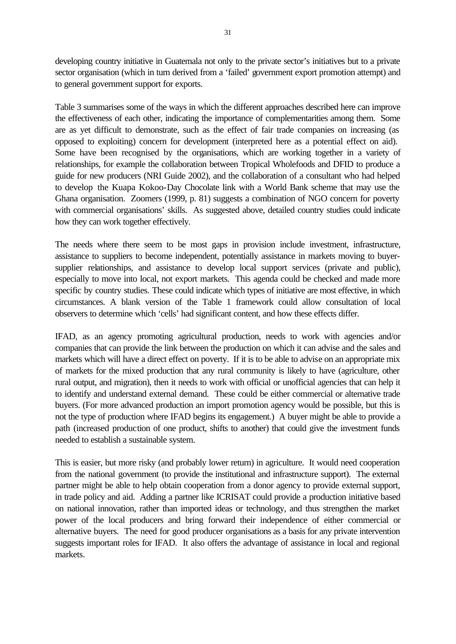developing country initiative in Guatemala not only to the private sector's initiatives but to a private sector organisation (which in turn derived from a 'failed' government export promotion attempt) and to general government support for exports.

Table 3 summarises some of the ways in which the different approaches described here can improve the effectiveness of each other, indicating the importance of complementarities among them. Some are as yet difficult to demonstrate, such as the effect of fair trade companies on increasing (as opposed to exploiting) concern for development (interpreted here as a potential effect on aid). Some have been recognised by the organisations, which are working together in a variety of relationships, for example the collaboration between Tropical Wholefoods and DFID to produce a guide for new producers (NRI Guide 2002), and the collaboration of a consultant who had helped to develop the Kuapa Kokoo-Day Chocolate link with a World Bank scheme that may use the Ghana organisation. Zoomers (1999, p. 81) suggests a combination of NGO concern for poverty with commercial organisations' skills. As suggested above, detailed country studies could indicate how they can work together effectively.

The needs where there seem to be most gaps in provision include investment, infrastructure, assistance to suppliers to become independent, potentially assistance in markets moving to buyersupplier relationships, and assistance to develop local support services (private and public), especially to move into local, not export markets. This agenda could be checked and made more specific by country studies. These could indicate which types of initiative are most effective, in which circumstances. A blank version of the Table 1 framework could allow consultation of local observers to determine which 'cells' had significant content, and how these effects differ.

IFAD, as an agency promoting agricultural production, needs to work with agencies and/or companies that can provide the link between the production on which it can advise and the sales and markets which will have a direct effect on poverty. If it is to be able to advise on an appropriate mix of markets for the mixed production that any rural community is likely to have (agriculture, other rural output, and migration), then it needs to work with official or unofficial agencies that can help it to identify and understand external demand. These could be either commercial or alternative trade buyers. (For more advanced production an import promotion agency would be possible, but this is not the type of production where IFAD begins its engagement.) A buyer might be able to provide a path (increased production of one product, shifts to another) that could give the investment funds needed to establish a sustainable system.

This is easier, but more risky (and probably lower return) in agriculture. It would need cooperation from the national government (to provide the institutional and infrastructure support). The external partner might be able to help obtain cooperation from a donor agency to provide external support, in trade policy and aid. Adding a partner like ICRISAT could provide a production initiative based on national innovation, rather than imported ideas or technology, and thus strengthen the market power of the local producers and bring forward their independence of either commercial or alternative buyers. The need for good producer organisations as a basis for any private intervention suggests important roles for IFAD. It also offers the advantage of assistance in local and regional markets.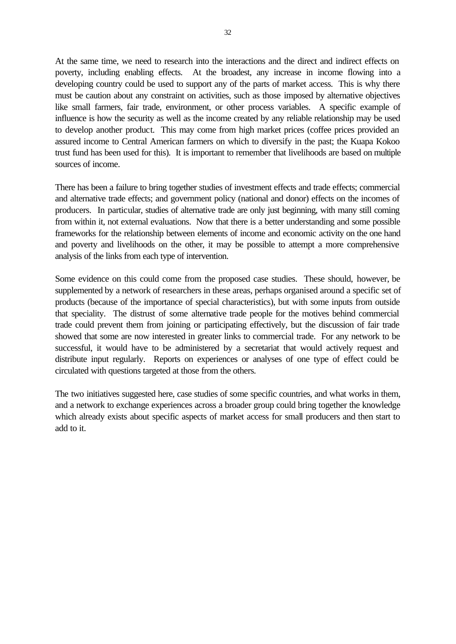At the same time, we need to research into the interactions and the direct and indirect effects on poverty, including enabling effects. At the broadest, any increase in income flowing into a developing country could be used to support any of the parts of market access. This is why there must be caution about any constraint on activities, such as those imposed by alternative objectives like small farmers, fair trade, environment, or other process variables. A specific example of influence is how the security as well as the income created by any reliable relationship may be used to develop another product. This may come from high market prices (coffee prices provided an assured income to Central American farmers on which to diversify in the past; the Kuapa Kokoo trust fund has been used for this). It is important to remember that livelihoods are based on multiple sources of income.

There has been a failure to bring together studies of investment effects and trade effects; commercial and alternative trade effects; and government policy (national and donor) effects on the incomes of producers. In particular, studies of alternative trade are only just beginning, with many still coming from within it, not external evaluations. Now that there is a better understanding and some possible frameworks for the relationship between elements of income and economic activity on the one hand and poverty and livelihoods on the other, it may be possible to attempt a more comprehensive analysis of the links from each type of intervention.

Some evidence on this could come from the proposed case studies. These should, however, be supplemented by a network of researchers in these areas, perhaps organised around a specific set of products (because of the importance of special characteristics), but with some inputs from outside that speciality. The distrust of some alternative trade people for the motives behind commercial trade could prevent them from joining or participating effectively, but the discussion of fair trade showed that some are now interested in greater links to commercial trade. For any network to be successful, it would have to be administered by a secretariat that would actively request and distribute input regularly. Reports on experiences or analyses of one type of effect could be circulated with questions targeted at those from the others.

The two initiatives suggested here, case studies of some specific countries, and what works in them, and a network to exchange experiences across a broader group could bring together the knowledge which already exists about specific aspects of market access for small producers and then start to add to it.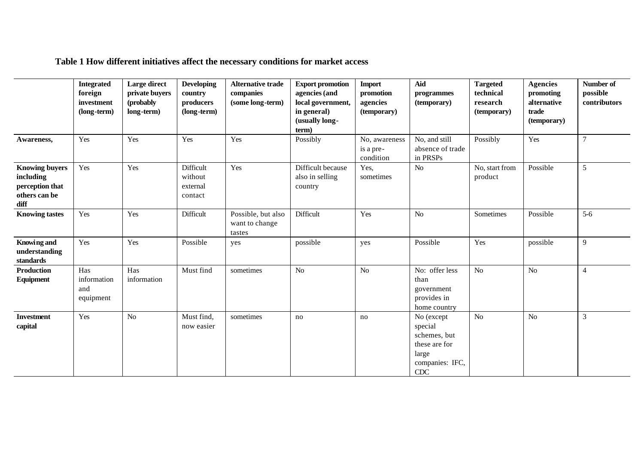|                                                                                | <b>Integrated</b><br>foreign<br>investment<br>(long-term) | Large direct<br>private buyers<br>(probably)<br>long-term) | <b>Developing</b><br>country<br>producers<br>(long-term) | <b>Alternative trade</b><br>companies<br>(some long-term) | <b>Export promotion</b><br>agencies (and<br>local government,<br>in general)<br>(usually long-<br>term) | <b>Import</b><br>promotion<br>agencies<br>(temporary) | Aid<br>programmes<br>(temporary)                                                          | <b>Targeted</b><br>technical<br>research<br>(temporary) | <b>Agencies</b><br>promoting<br>alternative<br>trade<br>(temporary) | Number of<br>possible<br>contributors |
|--------------------------------------------------------------------------------|-----------------------------------------------------------|------------------------------------------------------------|----------------------------------------------------------|-----------------------------------------------------------|---------------------------------------------------------------------------------------------------------|-------------------------------------------------------|-------------------------------------------------------------------------------------------|---------------------------------------------------------|---------------------------------------------------------------------|---------------------------------------|
| Awareness,                                                                     | Yes                                                       | Yes                                                        | Yes                                                      | Yes                                                       | Possibly                                                                                                | No, awareness<br>is a pre-<br>condition               | No, and still<br>absence of trade<br>in PRSPs                                             | Possibly                                                | Yes                                                                 | $\overline{7}$                        |
| <b>Knowing buyers</b><br>including<br>perception that<br>others can be<br>diff | Yes                                                       | Yes                                                        | Difficult<br>without<br>external<br>contact              | Yes                                                       | Difficult because<br>also in selling<br>country                                                         | Yes,<br>sometimes                                     | No                                                                                        | No, start from<br>product                               | Possible                                                            | 5                                     |
| <b>Knowing tastes</b>                                                          | Yes                                                       | Yes                                                        | Difficult                                                | Possible, but also<br>want to change<br>tastes            | Difficult                                                                                               | Yes                                                   | No                                                                                        | Sometimes                                               | Possible                                                            | $5-6$                                 |
| <b>Knowing and</b><br>understanding<br>standards                               | Yes                                                       | Yes                                                        | Possible                                                 | yes                                                       | possible                                                                                                | yes                                                   | Possible                                                                                  | Yes                                                     | possible                                                            | 9                                     |
| <b>Production</b><br>Equipment                                                 | Has<br>information<br>and<br>equipment                    | Has<br>information                                         | Must find                                                | sometimes                                                 | N <sub>o</sub>                                                                                          | No                                                    | No: offer less<br>than<br>government<br>provides in<br>home country                       | No                                                      | No                                                                  | $\overline{4}$                        |
| <b>Investment</b><br>capital                                                   | Yes                                                       | No                                                         | Must find,<br>now easier                                 | sometimes                                                 | no                                                                                                      | no                                                    | No (except<br>special<br>schemes, but<br>these are for<br>large<br>companies: IFC,<br>CDC | No                                                      | No                                                                  | $\mathfrak{Z}$                        |

**Table 1 How different initiatives affect the necessary conditions for market access**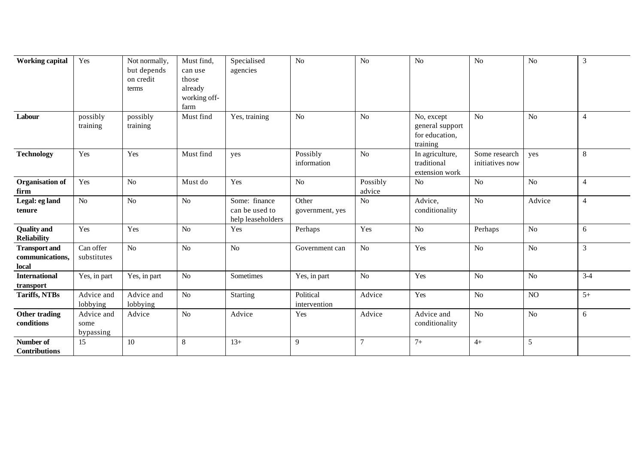| <b>Working capital</b>                           | Yes                             | Not normally,<br>but depends<br>on credit<br>terms | Must find,<br>can use<br>those<br>already<br>working off-<br>farm | Specialised<br>agencies                              | N <sub>o</sub>            | N <sub>o</sub>     | No                                                          | N <sub>o</sub>                   | N <sub>o</sub> | 3              |
|--------------------------------------------------|---------------------------------|----------------------------------------------------|-------------------------------------------------------------------|------------------------------------------------------|---------------------------|--------------------|-------------------------------------------------------------|----------------------------------|----------------|----------------|
| Labour                                           | possibly<br>training            | possibly<br>training                               | Must find                                                         | Yes, training                                        | N <sub>o</sub>            | N <sub>o</sub>     | No, except<br>general support<br>for education,<br>training | No                               | No             | $\overline{4}$ |
| <b>Technology</b>                                | Yes                             | Yes                                                | Must find                                                         | yes                                                  | Possibly<br>information   | N <sub>o</sub>     | In agriculture,<br>traditional<br>extension work            | Some research<br>initiatives now | ves            | 8              |
| Organisation of<br>firm                          | Yes                             | $\rm No$                                           | Must do                                                           | Yes                                                  | No                        | Possibly<br>advice | No                                                          | No                               | No             | $\overline{4}$ |
| Legal: eg land<br>tenure                         | $\rm No$                        | $\rm No$                                           | N <sub>o</sub>                                                    | Some: finance<br>can be used to<br>help leaseholders | Other<br>government, yes  | $\rm No$           | Advice,<br>conditionality                                   | $\rm No$                         | Advice         | $\overline{4}$ |
| <b>Quality</b> and<br><b>Reliability</b>         | Yes                             | Yes                                                | N <sub>o</sub>                                                    | Yes                                                  | Perhaps                   | Yes                | No                                                          | Perhaps                          | No             | 6              |
| <b>Transport and</b><br>communications,<br>local | Can offer<br>substitutes        | No                                                 | N <sub>o</sub>                                                    | N <sub>o</sub>                                       | Government can            | N <sub>o</sub>     | Yes                                                         | No                               | No             | $\overline{3}$ |
| <b>International</b><br>transport                | Yes, in part                    | Yes, in part                                       | N <sub>o</sub>                                                    | Sometimes                                            | Yes, in part              | $\rm No$           | Yes                                                         | No                               | No             | $3-4$          |
| <b>Tariffs, NTBs</b>                             | Advice and<br>lobbying          | Advice and<br>lobbying                             | $\rm No$                                                          | Starting                                             | Political<br>intervention | Advice             | Yes                                                         | $\rm No$                         | NO             | $5+$           |
| Other trading<br>conditions                      | Advice and<br>some<br>bypassing | Advice                                             | N <sub>o</sub>                                                    | Advice                                               | Yes                       | Advice             | Advice and<br>conditionality                                | No                               | No             | 6              |
| Number of<br><b>Contributions</b>                | 15                              | 10                                                 | 8                                                                 | $13+$                                                | 9                         | $\overline{7}$     | $7+$                                                        | $4+$                             | 5              |                |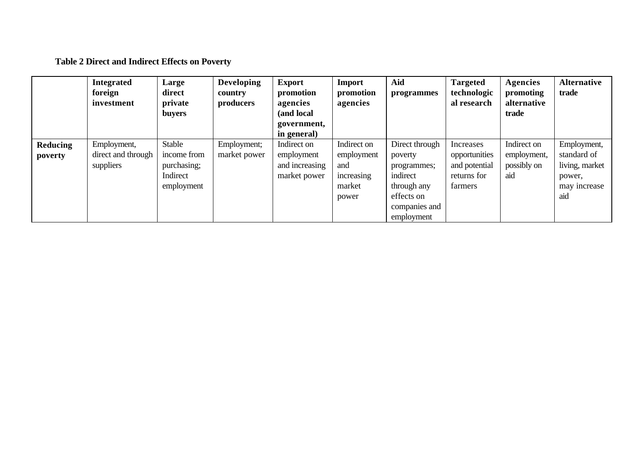# **Table 2 Direct and Indirect Effects on Poverty**

|                     | <b>Integrated</b><br>foreign<br>investment     | Large<br>direct<br>private<br><b>buyers</b>                    | <b>Developing</b><br>country<br>producers | <b>Export</b><br>promotion<br>agencies<br>(and local<br>government,<br>in general) | <b>Import</b><br>promotion<br>agencies                            | Aid<br>programmes                                                                                                | <b>Targeted</b><br>technologic<br>al research                         | Agencies<br>promoting<br>alternative<br>trade    | <b>Alternative</b><br>trade                                                   |
|---------------------|------------------------------------------------|----------------------------------------------------------------|-------------------------------------------|------------------------------------------------------------------------------------|-------------------------------------------------------------------|------------------------------------------------------------------------------------------------------------------|-----------------------------------------------------------------------|--------------------------------------------------|-------------------------------------------------------------------------------|
| Reducing<br>poverty | Employment,<br>direct and through<br>suppliers | Stable<br>income from<br>purchasing;<br>Indirect<br>employment | Employment;<br>market power               | Indirect on<br>employment<br>and increasing<br>market power                        | Indirect on<br>employment<br>and<br>increasing<br>market<br>power | Direct through<br>poverty<br>programmes;<br>indirect<br>through any<br>effects on<br>companies and<br>employment | Increases<br>opportunities<br>and potential<br>returns for<br>farmers | Indirect on<br>employment,<br>possibly on<br>aid | Employment,<br>standard of<br>living, market<br>power,<br>may increase<br>aid |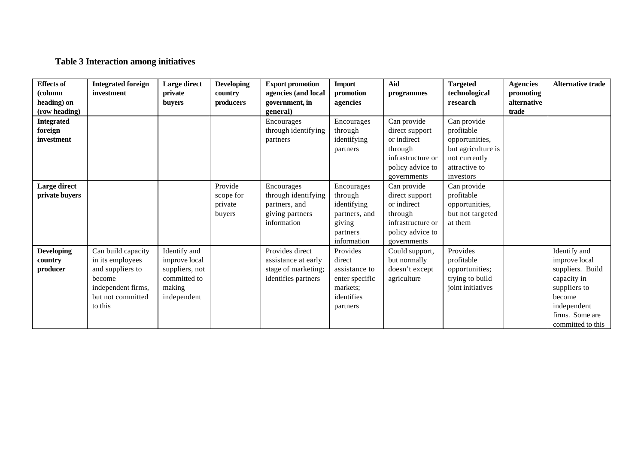# **Table 3 Interaction among initiatives**

| <b>Effects of</b><br>(column<br>heading) on<br>(row heading) | <b>Integrated foreign</b><br>investment                                                                                    | Large direct<br>private<br><b>buyers</b>                                                 | <b>Developing</b><br>country<br>producers | <b>Export promotion</b><br>agencies (and local<br>government, in<br>general)         | <b>Import</b><br>promotion<br>agencies                                                      | Aid<br>programmes                                                                                               | <b>Targeted</b><br>technological<br>research                                                                     | <b>Agencies</b><br>promoting<br>alternative<br>trade | <b>Alternative trade</b>                                                                                                                          |
|--------------------------------------------------------------|----------------------------------------------------------------------------------------------------------------------------|------------------------------------------------------------------------------------------|-------------------------------------------|--------------------------------------------------------------------------------------|---------------------------------------------------------------------------------------------|-----------------------------------------------------------------------------------------------------------------|------------------------------------------------------------------------------------------------------------------|------------------------------------------------------|---------------------------------------------------------------------------------------------------------------------------------------------------|
| <b>Integrated</b><br>foreign<br>investment                   |                                                                                                                            |                                                                                          |                                           | Encourages<br>through identifying<br>partners                                        | Encourages<br>through<br>identifying<br>partners                                            | Can provide<br>direct support<br>or indirect<br>through<br>infrastructure or<br>policy advice to<br>governments | Can provide<br>profitable<br>opportunities,<br>but agriculture is<br>not currently<br>attractive to<br>investors |                                                      |                                                                                                                                                   |
| Large direct<br>private buyers                               |                                                                                                                            |                                                                                          | Provide<br>scope for<br>private<br>buyers | Encourages<br>through identifying<br>partners, and<br>giving partners<br>information | Encourages<br>through<br>identifying<br>partners, and<br>giving<br>partners<br>information  | Can provide<br>direct support<br>or indirect<br>through<br>infrastructure or<br>policy advice to<br>governments | Can provide<br>profitable<br>opportunities,<br>but not targeted<br>at them                                       |                                                      |                                                                                                                                                   |
| <b>Developing</b><br>country<br>producer                     | Can build capacity<br>in its employees<br>and suppliers to<br>become<br>independent firms,<br>but not committed<br>to this | Identify and<br>improve local<br>suppliers, not<br>committed to<br>making<br>independent |                                           | Provides direct<br>assistance at early<br>stage of marketing;<br>identifies partners | Provides<br>direct<br>assistance to<br>enter specific<br>markets;<br>identifies<br>partners | Could support,<br>but normally<br>doesn't except<br>agriculture                                                 | Provides<br>profitable<br>opportunities;<br>trying to build<br>joint initiatives                                 |                                                      | Identify and<br>improve local<br>suppliers. Build<br>capacity in<br>suppliers to<br>become<br>independent<br>firms. Some are<br>committed to this |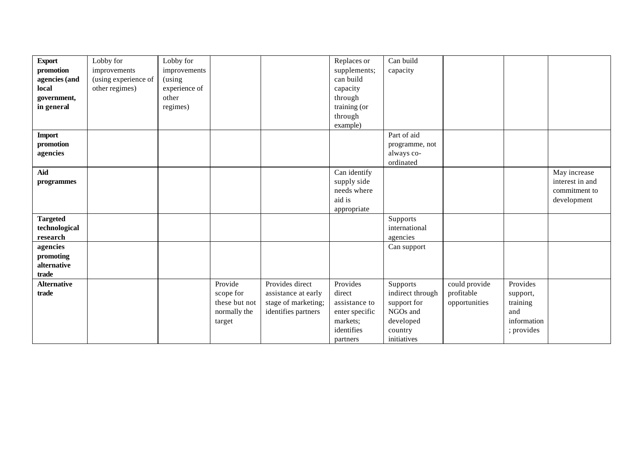| <b>Export</b>      | Lobby for            | Lobby for     |               |                     | Replaces or    | Can build        |               |             |                 |
|--------------------|----------------------|---------------|---------------|---------------------|----------------|------------------|---------------|-------------|-----------------|
| promotion          | improvements         | improvements  |               |                     | supplements;   | capacity         |               |             |                 |
| agencies (and      | (using experience of | (using        |               |                     | can build      |                  |               |             |                 |
| local              | other regimes)       | experience of |               |                     | capacity       |                  |               |             |                 |
| government,        |                      | other         |               |                     | through        |                  |               |             |                 |
| in general         |                      | regimes)      |               |                     | training (or   |                  |               |             |                 |
|                    |                      |               |               |                     | through        |                  |               |             |                 |
|                    |                      |               |               |                     | example)       |                  |               |             |                 |
| <b>Import</b>      |                      |               |               |                     |                | Part of aid      |               |             |                 |
| promotion          |                      |               |               |                     |                | programme, not   |               |             |                 |
| agencies           |                      |               |               |                     |                | always co-       |               |             |                 |
|                    |                      |               |               |                     |                | ordinated        |               |             |                 |
| Aid                |                      |               |               |                     | Can identify   |                  |               |             | May increase    |
| programmes         |                      |               |               |                     | supply side    |                  |               |             | interest in and |
|                    |                      |               |               |                     | needs where    |                  |               |             | commitment to   |
|                    |                      |               |               |                     | aid is         |                  |               |             | development     |
|                    |                      |               |               |                     | appropriate    |                  |               |             |                 |
| <b>Targeted</b>    |                      |               |               |                     |                | Supports         |               |             |                 |
| technological      |                      |               |               |                     |                | international    |               |             |                 |
| research           |                      |               |               |                     |                | agencies         |               |             |                 |
| agencies           |                      |               |               |                     |                | Can support      |               |             |                 |
| promoting          |                      |               |               |                     |                |                  |               |             |                 |
| alternative        |                      |               |               |                     |                |                  |               |             |                 |
| trade              |                      |               |               |                     |                |                  |               |             |                 |
| <b>Alternative</b> |                      |               | Provide       | Provides direct     | Provides       | Supports         | could provide | Provides    |                 |
| trade              |                      |               | scope for     | assistance at early | direct         | indirect through | profitable    | support,    |                 |
|                    |                      |               | these but not | stage of marketing; | assistance to  | support for      | opportunities | training    |                 |
|                    |                      |               | normally the  | identifies partners | enter specific | NGOs and         |               | and         |                 |
|                    |                      |               | target        |                     | markets;       | developed        |               | information |                 |
|                    |                      |               |               |                     | identifies     | country          |               | ; provides  |                 |
|                    |                      |               |               |                     | partners       | initiatives      |               |             |                 |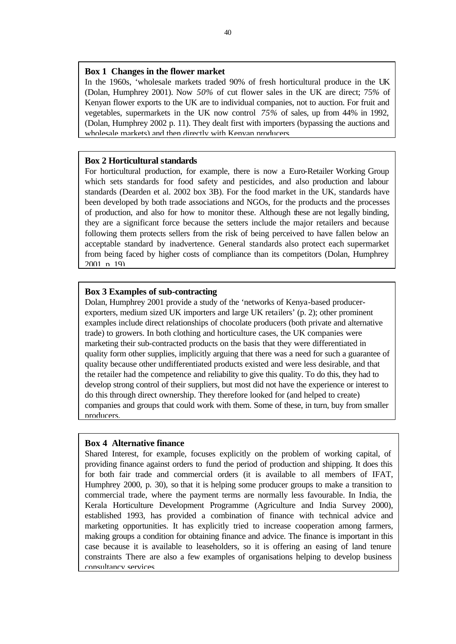### **Box 1 Changes in the flower market**

In the 1960s, 'wholesale markets traded 90% of fresh horticultural produce in the UK (Dolan, Humphrey 2001). Now *50%* of cut flower sales in the UK are direct; 75*%* of Kenyan flower exports to the UK are to individual companies, not to auction. For fruit and vegetables, supermarkets in the UK now control *75%* of sales, up from 44% in 1992, (Dolan, Humphrey 2002 p. 11). They dealt first with importers (bypassing the auctions and wholesale markets) and then directly with Kenyan producers.

### **Box 2 Horticultural standards**

For horticultural production, for example, there is now a Euro-Retailer Working Group which sets standards for food safety and pesticides, and also production and labour standards (Dearden et al. 2002 box 3B). For the food market in the UK, standards have been developed by both trade associations and NGOs, for the products and the processes of production, and also for how to monitor these. Although these are not legally binding, they are a significant force because the setters include the major retailers and because following them protects sellers from the risk of being perceived to have fallen below an acceptable standard by inadvertence. General standards also protect each supermarket from being faced by higher costs of compliance than its competitors (Dolan, Humphrey  $2001$  n 19).

### **Box 3 Examples of sub-contracting**

Dolan, Humphrey 2001 provide a study of the 'networks of Kenya-based producerexporters, medium sized UK importers and large UK retailers' (p. 2); other prominent examples include direct relationships of chocolate producers (both private and alternative trade) to growers. In both clothing and horticulture cases, the UK companies were marketing their sub-contracted products on the basis that they were differentiated in quality form other supplies, implicitly arguing that there was a need for such a guarantee of quality because other undifferentiated products existed and were less desirable, and that the retailer had the competence and reliability to give this quality. To do this, they had to develop strong control of their suppliers, but most did not have the experience or interest to do this through direct ownership. They therefore looked for (and helped to create) companies and groups that could work with them. Some of these, in turn, buy from smaller producers.

#### **Box 4 Alternative finance**

Shared Interest, for example, focuses explicitly on the problem of working capital, of providing finance against orders to fund the period of production and shipping. It does this for both fair trade and commercial orders (it is available to all members of IFAT, Humphrey 2000, p. 30), so that it is helping some producer groups to make a transition to commercial trade, where the payment terms are normally less favourable. In India, the Kerala Horticulture Development Programme (Agriculture and India Survey 2000), established 1993, has provided a combination of finance with technical advice and marketing opportunities. It has explicitly tried to increase cooperation among farmers, making groups a condition for obtaining finance and advice. The finance is important in this case because it is available to leaseholders, so it is offering an easing of land tenure constraints There are also a few examples of organisations helping to develop business consultancy services.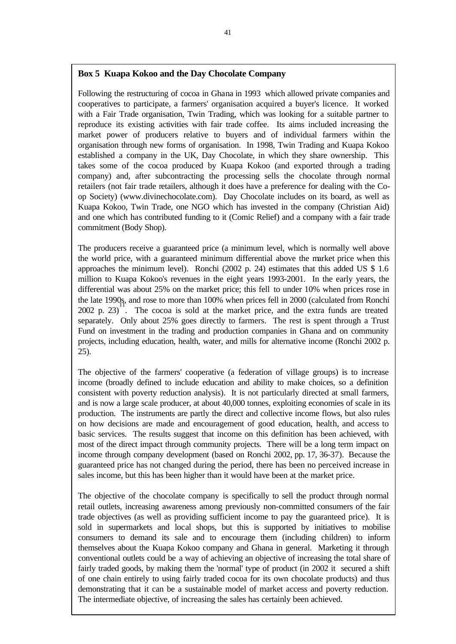# **Box 5 Kuapa Kokoo and the Day Chocolate Company**

Following the restructuring of cocoa in Ghana in 1993 which allowed private companies and cooperatives to participate, a farmers' organisation acquired a buyer's licence. It worked with a Fair Trade organisation, Twin Trading, which was looking for a suitable partner to reproduce its existing activities with fair trade coffee. Its aims included increasing the market power of producers relative to buyers and of individual farmers within the organisation through new forms of organisation. In 1998, Twin Trading and Kuapa Kokoo established a company in the UK, Day Chocolate, in which they share ownership. This takes some of the cocoa produced by Kuapa Kokoo (and exported through a trading company) and, after subcontracting the processing sells the chocolate through normal retailers (not fair trade retailers, although it does have a preference for dealing with the Coop Society) (www.divinechocolate.com). Day Chocolate includes on its board, as well as Kuapa Kokoo, Twin Trade, one NGO which has invested in the company (Christian Aid) and one which has contributed funding to it (Comic Relief) and a company with a fair trade commitment (Body Shop).

The producers receive a guaranteed price (a minimum level, which is normally well above the world price, with a guaranteed minimum differential above the market price when this approaches the minimum level). Ronchi (2002 p. 24) estimates that this added US \$ 1.6 million to Kuapa Kokoo's revenues in the eight years 1993-2001. In the early years, the differential was about 25% on the market price; this fell to under 10% when prices rose in the late 1990s, and rose to more than 100% when prices fell in 2000 (calculated from Ronchi 2002 p. 23). The cocoa is sold at the market price, and the extra funds are treated separately. Only about 25% goes directly to farmers. The rest is spent through a Trust Fund on investment in the trading and production companies in Ghana and on community projects, including education, health, water, and mills for alternative income (Ronchi 2002 p. 25).

The objective of the farmers' cooperative (a federation of village groups) is to increase income (broadly defined to include education and ability to make choices, so a definition consistent with poverty reduction analysis). It is not particularly directed at small farmers, and is now a large scale producer, at about 40,000 tonnes, exploiting economies of scale in its production. The instruments are partly the direct and collective income flows, but also rules on how decisions are made and encouragement of good education, health, and access to basic services. The results suggest that income on this definition has been achieved, with most of the direct impact through community projects. There will be a long term impact on income through company development (based on Ronchi 2002, pp. 17, 36-37). Because the guaranteed price has not changed during the period, there has been no perceived increase in sales income, but this has been higher than it would have been at the market price.

The objective of the chocolate company is specifically to sell the product through normal retail outlets, increasing awareness among previously non-committed consumers of the fair trade objectives (as well as providing sufficient income to pay the guaranteed price). It is sold in supermarkets and local shops, but this is supported by initiatives to mobilise consumers to demand its sale and to encourage them (including children) to inform themselves about the Kuapa Kokoo company and Ghana in general. Marketing it through conventional outlets could be a way of achieving an objective of increasing the total share of fairly traded goods, by making them the 'normal' type of product (in 2002 it secured a shift of one chain entirely to using fairly traded cocoa for its own chocolate products) and thus demonstrating that it can be a sustainable model of market access and poverty reduction. The intermediate objective, of increasing the sales has certainly been achieved.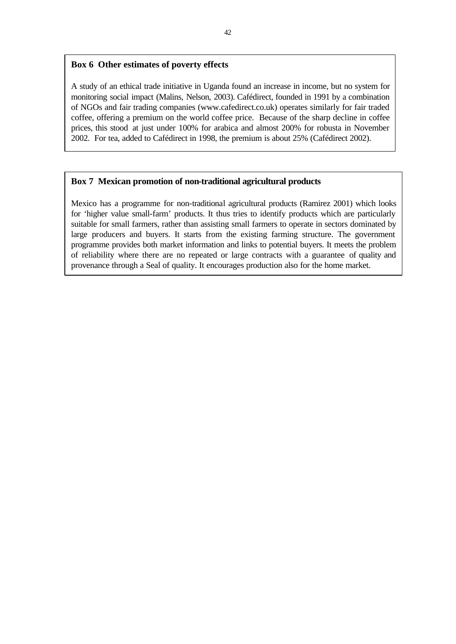#### 42

### **Box 6 Other estimates of poverty effects**

A study of an ethical trade initiative in Uganda found an increase in income, but no system for monitoring social impact (Malins, Nelson, 2003). Cafédirect, founded in 1991 by a combination of NGOs and fair trading companies (www.cafedirect.co.uk) operates similarly for fair traded coffee, offering a premium on the world coffee price. Because of the sharp decline in coffee prices, this stood at just under 100% for arabica and almost 200% for robusta in November 2002. For tea, added to Cafédirect in 1998, the premium is about 25% (Cafédirect 2002).

### **Box 7 Mexican promotion of non-traditional agricultural products**

Mexico has a programme for non-traditional agricultural products (Ramirez 2001) which looks for 'higher value small-farm' products. It thus tries to identify products which are particularly suitable for small farmers, rather than assisting small farmers to operate in sectors dominated by large producers and buyers. It starts from the existing farming structure. The government programme provides both market information and links to potential buyers. It meets the problem of reliability where there are no repeated or large contracts with a guarantee of quality and provenance through a Seal of quality. It encourages production also for the home market.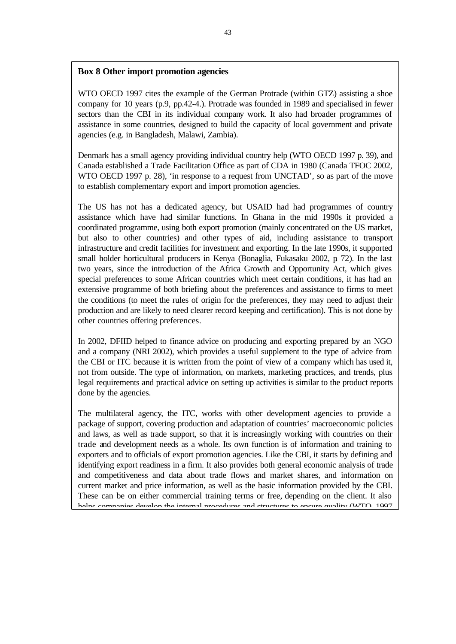## **Box 8 Other import promotion agencies**

WTO OECD 1997 cites the example of the German Protrade (within GTZ) assisting a shoe company for 10 years (p.9, pp.42-4.). Protrade was founded in 1989 and specialised in fewer sectors than the CBI in its individual company work. It also had broader programmes of assistance in some countries, designed to build the capacity of local government and private agencies (e.g. in Bangladesh, Malawi, Zambia).

Denmark has a small agency providing individual country help (WTO OECD 1997 p. 39), and Canada established a Trade Facilitation Office as part of CDA in 1980 (Canada TFOC 2002, WTO OECD 1997 p. 28), 'in response to a request from UNCTAD', so as part of the move to establish complementary export and import promotion agencies.

The US has not has a dedicated agency, but USAID had had programmes of country assistance which have had similar functions. In Ghana in the mid 1990s it provided a coordinated programme, using both export promotion (mainly concentrated on the US market, but also to other countries) and other types of aid, including assistance to transport infrastructure and credit facilities for investment and exporting. In the late 1990s, it supported small holder horticultural producers in Kenya (Bonaglia, Fukasaku 2002, p. 72). In the last two years, since the introduction of the Africa Growth and Opportunity Act, which gives special preferences to some African countries which meet certain conditions, it has had an extensive programme of both briefing about the preferences and assistance to firms to meet the conditions (to meet the rules of origin for the preferences, they may need to adjust their production and are likely to need clearer record keeping and certification). This is not done by other countries offering preferences.

In 2002, DFIID helped to finance advice on producing and exporting prepared by an NGO and a company (NRI 2002), which provides a useful supplement to the type of advice from the CBI or ITC because it is written from the point of view of a company which has used it, not from outside. The type of information, on markets, marketing practices, and trends, plus legal requirements and practical advice on setting up activities is similar to the product reports done by the agencies.

The multilateral agency, the ITC, works with other development agencies to provide a package of support, covering production and adaptation of countries' macroeconomic policies and laws, as well as trade support, so that it is increasingly working with countries on their trade and development needs as a whole. Its own function is of information and training to exporters and to officials of export promotion agencies. Like the CBI, it starts by defining and identifying export readiness in a firm. It also provides both general economic analysis of trade and competitiveness and data about trade flows and market shares, and information on current market and price information, as well as the basic information provided by the CBI. These can be on either commercial training terms or free, depending on the client. It also helps companies develop the internal procedures and structures to ensure quality (WTO, 1007)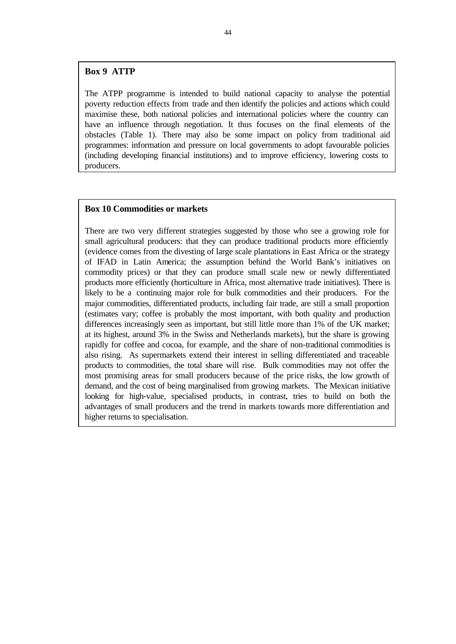# **Box 9 ATTP**

The ATPP programme is intended to build national capacity to analyse the potential poverty reduction effects from trade and then identify the policies and actions which could maximise these, both national policies and international policies where the country can have an influence through negotiation. It thus focuses on the final elements of the obstacles (Table 1). There may also be some impact on policy from traditional aid programmes: information and pressure on local governments to adopt favourable policies (including developing financial institutions) and to improve efficiency, lowering costs to producers.

### **Box 10 Commodities or markets**

There are two very different strategies suggested by those who see a growing role for small agricultural producers: that they can produce traditional products more efficiently (evidence comes from the divesting of large scale plantations in East Africa or the strategy of IFAD in Latin America; the assumption behind the World Bank's initiatives on commodity prices) or that they can produce small scale new or newly differentiated products more efficiently (horticulture in Africa, most alternative trade initiatives). There is likely to be a continuing major role for bulk commodities and their producers. For the major commodities, differentiated products, including fair trade, are still a small proportion (estimates vary; coffee is probably the most important, with both quality and production differences increasingly seen as important, but still little more than 1% of the UK market; at its highest, around 3% in the Swiss and Netherlands markets), but the share is growing rapidly for coffee and cocoa, for example, and the share of non-traditional commodities is also rising. As supermarkets extend their interest in selling differentiated and traceable products to commodities, the total share will rise. Bulk commodities may not offer the most promising areas for small producers because of the price risks, the low growth of demand, and the cost of being marginalised from growing markets. The Mexican initiative looking for high-value, specialised products, in contrast, tries to build on both the advantages of small producers and the trend in markets towards more differentiation and higher returns to specialisation.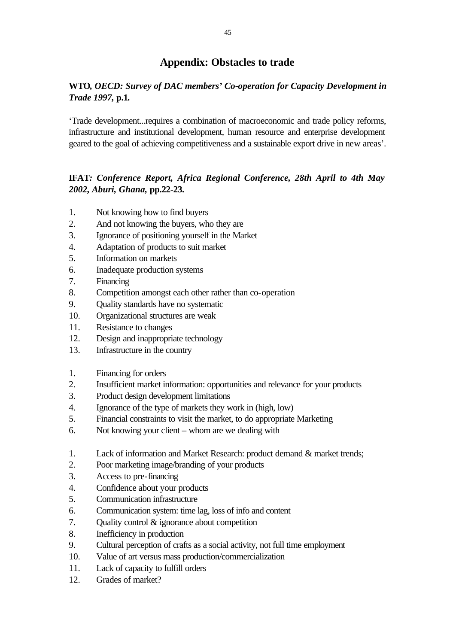# **Appendix: Obstacles to trade**

# **WTO***, OECD: Survey of DAC members' Co-operation for Capacity Development in Trade 1997,* **p.1***.*

'Trade development...requires a combination of macroeconomic and trade policy reforms, infrastructure and institutional development, human resource and enterprise development geared to the goal of achieving competitiveness and a sustainable export drive in new areas'.

# **IFAT***: Conference Report, Africa Regional Conference, 28th April to 4th May 2002, Aburi, Ghana,* **pp.22-23***.*

- 1. Not knowing how to find buyers
- 2. And not knowing the buyers, who they are
- 3. Ignorance of positioning yourself in the Market
- 4. Adaptation of products to suit market
- 5. Information on markets
- 6. Inadequate production systems
- 7. Financing
- 8. Competition amongst each other rather than co-operation
- 9. Quality standards have no systematic
- 10. Organizational structures are weak
- 11. Resistance to changes
- 12. Design and inappropriate technology
- 13. Infrastructure in the country
- 1. Financing for orders
- 2. Insufficient market information: opportunities and relevance for your products
- 3. Product design development limitations
- 4. Ignorance of the type of markets they work in (high, low)
- 5. Financial constraints to visit the market, to do appropriate Marketing
- 6. Not knowing your client whom are we dealing with
- 1. Lack of information and Market Research: product demand & market trends;
- 2. Poor marketing image/branding of your products
- 3. Access to pre-financing
- 4. Confidence about your products
- 5. Communication infrastructure
- 6. Communication system: time lag, loss of info and content
- 7. Quality control & ignorance about competition
- 8. Inefficiency in production
- 9. Cultural perception of crafts as a social activity, not full time employment
- 10. Value of art versus mass production/commercialization
- 11. Lack of capacity to fulfill orders
- 12. Grades of market?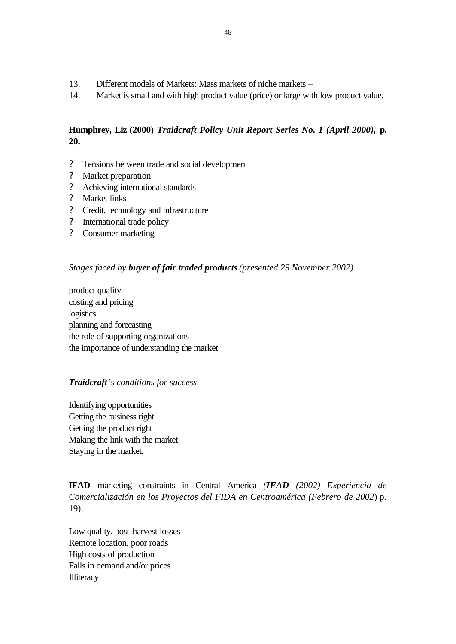- 13. Different models of Markets: Mass markets of niche markets –
- 14. Market is small and with high product value (price) or large with low product value.

# **Humphrey, Liz (2000)** *Traidcraft Policy Unit Report Series No. 1 (April 2000),* **p. 20.**

- ? Tensions between trade and social development
- ? Market preparation
- ? Achieving international standards
- ? Market links
- ? Credit, technology and infrastructure
- ? International trade policy
- ? Consumer marketing

# *Stages faced by buyer of fair traded products (presented 29 November 2002)*

product quality costing and pricing logistics planning and forecasting the role of supporting organizations the importance of understanding the market

### *Traidcraft's conditions for success*

Identifying opportunities Getting the business right Getting the product right Making the link with the market Staying in the market.

**IFAD** marketing constraints in Central America *(IFAD (2002) Experiencia de Comercialización en los Proyectos del FIDA en Centroamérica (Febrero de 2002*) p. 19).

Low quality, post-harvest losses Remote location, poor roads High costs of production Falls in demand and/or prices **Illiteracy**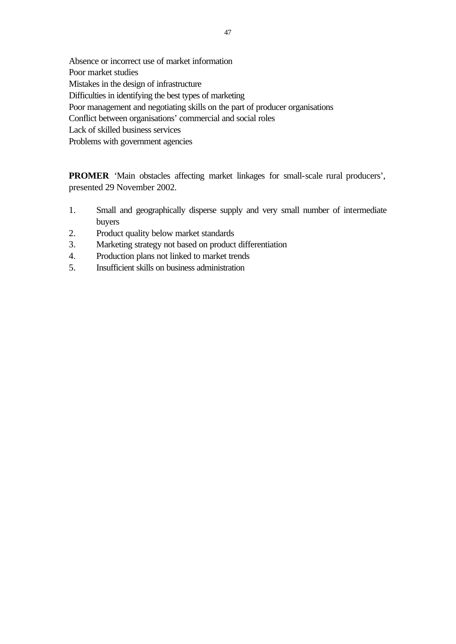Absence or incorrect use of market information Poor market studies Mistakes in the design of infrastructure Difficulties in identifying the best types of marketing Poor management and negotiating skills on the part of producer organisations Conflict between organisations' commercial and social roles Lack of skilled business services Problems with government agencies

**PROMER** 'Main obstacles affecting market linkages for small-scale rural producers', presented 29 November 2002.

- 1. Small and geographically disperse supply and very small number of intermediate buyers
- 2. Product quality below market standards
- 3. Marketing strategy not based on product differentiation
- 4. Production plans not linked to market trends
- 5. Insufficient skills on business administration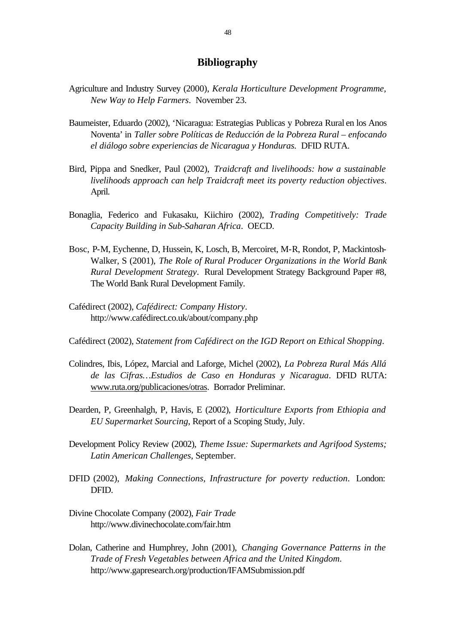# **Bibliography**

- Agriculture and Industry Survey (2000), *Kerala Horticulture Development Programme, New Way to Help Farmers*. November 23.
- Baumeister, Eduardo (2002), 'Nicaragua: Estrategias Publicas y Pobreza Rural en los Anos Noventa' in *Taller sobre Políticas de Reducción de la Pobreza Rural – enfocando el diálogo sobre experiencias de Nicaragua y Honduras.* DFID RUTA.
- Bird, Pippa and Snedker, Paul (2002), *Traidcraft and livelihoods: how a sustainable livelihoods approach can help Traidcraft meet its poverty reduction objectives*. April.
- Bonaglia, Federico and Fukasaku, Kiichiro (2002), *Trading Competitively: Trade Capacity Building in Sub-Saharan Africa*. OECD.
- Bosc, P-M, Eychenne, D, Hussein, K, Losch, B, Mercoiret, M-R, Rondot, P, Mackintosh-Walker, S (2001), *The Role of Rural Producer Organizations in the World Bank Rural Development Strategy*. Rural Development Strategy Background Paper #8, The World Bank Rural Development Family.
- Cafédirect (2002), *Cafédirect: Company History*. http://www.cafédirect.co.uk/about/company.php
- Cafédirect (2002), *Statement from Cafédirect on the IGD Report on Ethical Shopping*.
- Colindres, Ibis, López, Marcial and Laforge, Michel (2002), *La Pobreza Rural Más Allá de las Cifras…Estudios de Caso en Honduras y Nicaragua*. DFID RUTA: www.ruta.org/publicaciones/otras. Borrador Preliminar.
- Dearden, P, Greenhalgh, P, Havis, E (2002), *Horticulture Exports from Ethiopia and EU Supermarket Sourcing*, Report of a Scoping Study, July.
- Development Policy Review (2002), *Theme Issue: Supermarkets and Agrifood Systems; Latin American Challenges*, September.
- DFID (2002), *Making Connections, Infrastructure for poverty reduction*. London: DFID.
- Divine Chocolate Company (2002), *Fair Trade* http://www.divinechocolate.com/fair.htm
- Dolan, Catherine and Humphrey, John (2001), *Changing Governance Patterns in the Trade of Fresh Vegetables between Africa and the United Kingdom*. http://www.gapresearch.org/production/IFAMSubmission.pdf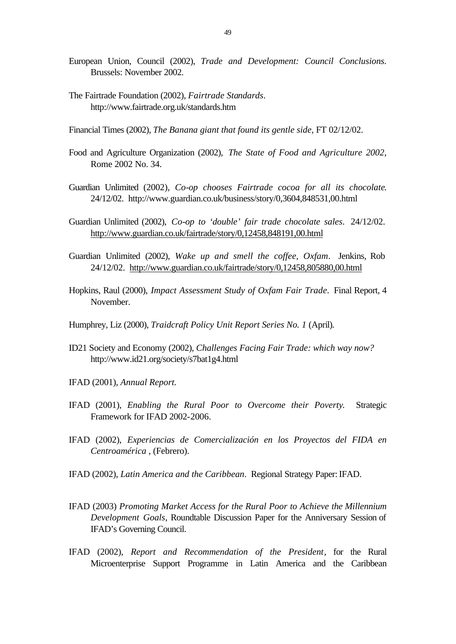- European Union, Council (2002), *Trade and Development: Council Conclusions.* Brussels: November 2002.
- The Fairtrade Foundation (2002), *Fairtrade Standards*. http://www.fairtrade.org.uk/standards.htm
- Financial Times (2002), *The Banana giant that found its gentle side*, FT 02/12/02.
- Food and Agriculture Organization (2002), *The State of Food and Agriculture 2002*, Rome 2002 No. 34.
- Guardian Unlimited (2002), *Co-op chooses Fairtrade cocoa for all its chocolate*. 24/12/02. http://www.guardian.co.uk/business/story/0,3604,848531,00.html
- Guardian Unlimited (2002), *Co-op to 'double' fair trade chocolate sales*. 24/12/02. http://www.guardian.co.uk/fairtrade/story/0,12458,848191,00.html
- Guardian Unlimited (2002), *Wake up and smell the coffee, Oxfam*. Jenkins, Rob 24/12/02. http://www.guardian.co.uk/fairtrade/story/0,12458,805880,00.html
- Hopkins, Raul (2000), *Impact Assessment Study of Oxfam Fair Trade*. Final Report, 4 November.
- Humphrey, Liz (2000), *Traidcraft Policy Unit Report Series No. 1* (April).
- ID21 Society and Economy (2002), *Challenges Facing Fair Trade: which way now?* http://www.id21.org/society/s7bat1g4.html
- IFAD (2001), *Annual Report.*
- IFAD (2001), *Enabling the Rural Poor to Overcome their Poverty*. Strategic Framework for IFAD 2002-2006.
- IFAD (2002), *Experiencias de Comercialización en los Proyectos del FIDA en Centroamérica* , (Febrero).
- IFAD (2002), *Latin America and the Caribbean*. Regional Strategy Paper: IFAD.
- IFAD (2003) *Promoting Market Access for the Rural Poor to Achieve the Millennium Development Goals*, Roundtable Discussion Paper for the Anniversary Session of IFAD's Governing Council.
- IFAD (2002), *Report and Recommendation of the President*, for the Rural Microenterprise Support Programme in Latin America and the Caribbean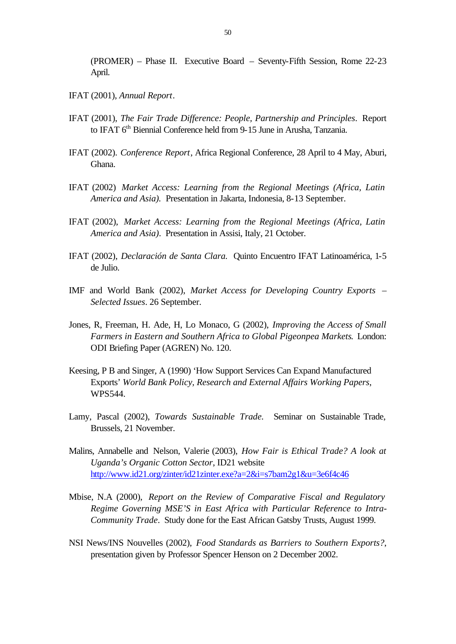(PROMER) – Phase II. Executive Board – Seventy-Fifth Session, Rome 22-23 April.

- IFAT (2001), *Annual Report*.
- IFAT (2001), *The Fair Trade Difference: People, Partnership and Principles*. Report to IFAT 6<sup>th</sup> Biennial Conference held from 9-15 June in Arusha, Tanzania.
- IFAT (2002). *Conference Report*, Africa Regional Conference, 28 April to 4 May, Aburi, Ghana.
- IFAT (2002) *Market Access: Learning from the Regional Meetings (Africa, Latin America and Asia).* Presentation in Jakarta, Indonesia, 8-13 September.
- IFAT (2002), *Market Access: Learning from the Regional Meetings (Africa, Latin America and Asia)*. Presentation in Assisi, Italy, 21 October.
- IFAT (2002), *Declaración de Santa Clara.* Quinto Encuentro IFAT Latinoamérica, 1-5 de Julio.
- IMF and World Bank (2002), *Market Access for Developing Country Exports – Selected Issues*. 26 September.
- Jones, R, Freeman, H. Ade, H, Lo Monaco, G (2002), *Improving the Access of Small Farmers in Eastern and Southern Africa to Global Pigeonpea Markets*. London: ODI Briefing Paper (AGREN) No. 120.
- Keesing, P B and Singer, A (1990) 'How Support Services Can Expand Manufactured Exports' *World Bank Policy, Research and External Affairs Working Papers*, WPS544.
- Lamy, Pascal (2002), *Towards Sustainable Trade.* Seminar on Sustainable Trade, Brussels, 21 November.
- Malins, Annabelle and Nelson, Valerie (2003), *How Fair is Ethical Trade? A look at Uganda's Organic Cotton Sector*, ID21 website http://www.id21.org/zinter/id21zinter.exe?a=2&i=s7bam2g1&u=3e6f4c46
- Mbise, N.A (2000), *Report on the Review of Comparative Fiscal and Regulatory Regime Governing MSE'S in East Africa with Particular Reference to Intra-Community Trade*. Study done for the East African Gatsby Trusts, August 1999.
- NSI News/INS Nouvelles (2002), *Food Standards as Barriers to Southern Exports?*, presentation given by Professor Spencer Henson on 2 December 2002.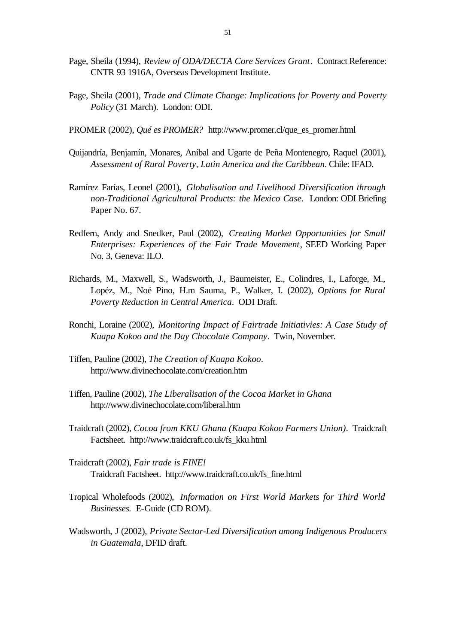- Page, Sheila (1994), *Review of ODA/DECTA Core Services Grant*. Contract Reference: CNTR 93 1916A, Overseas Development Institute.
- Page, Sheila (2001), *Trade and Climate Change: Implications for Poverty and Poverty Policy* (31 March). London: ODI.
- PROMER (2002), *Qué es PROMER?* http://www.promer.cl/que\_es\_promer.html
- Quijandría, Benjamín, Monares, Aníbal and Ugarte de Peña Montenegro, Raquel (2001), *Assessment of Rural Poverty, Latin America and the Caribbean*. Chile: IFAD.
- Ramírez Farías, Leonel (2001), *Globalisation and Livelihood Diversification through non-Traditional Agricultural Products: the Mexico Case.* London: ODI Briefing Paper No. 67.
- Redfern, Andy and Snedker, Paul (2002), *Creating Market Opportunities for Small Enterprises: Experiences of the Fair Trade Movement*, SEED Working Paper No. 3, Geneva: ILO.
- Richards, M., Maxwell, S., Wadsworth, J., Baumeister, E., Colindres, I., Laforge, M., Lopéz, M., Noé Pino, H.m Sauma, P., Walker, I. (2002), *Options for Rural Poverty Reduction in Central America*. ODI Draft.
- Ronchi, Loraine (2002), *Monitoring Impact of Fairtrade Initiativies: A Case Study of Kuapa Kokoo and the Day Chocolate Company*. Twin, November.
- Tiffen, Pauline (2002), *The Creation of Kuapa Kokoo*. http://www.divinechocolate.com/creation.htm
- Tiffen, Pauline (2002), *The Liberalisation of the Cocoa Market in Ghana* http://www.divinechocolate.com/liberal.htm
- Traidcraft (2002), *Cocoa from KKU Ghana (Kuapa Kokoo Farmers Union)*. Traidcraft Factsheet. http://www.traidcraft.co.uk/fs\_kku.html
- Traidcraft (2002), *Fair trade is FINE!* Traidcraft Factsheet. http://www.traidcraft.co.uk/fs\_fine.html
- Tropical Wholefoods (2002), *Information on First World Markets for Third World Businesses.* E-Guide (CD ROM).
- Wadsworth, J (2002), *Private Sector-Led Diversification among Indigenous Producers in Guatemala*, DFID draft.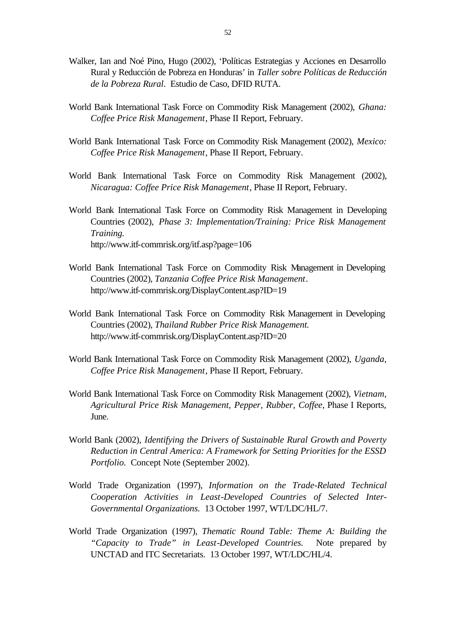- Walker, Ian and Noé Pino, Hugo (2002), 'Políticas Estrategias y Acciones en Desarrollo Rural y Reducción de Pobreza en Honduras' in *Taller sobre Políticas de Reducción de la Pobreza Rural*. Estudio de Caso, DFID RUTA.
- World Bank International Task Force on Commodity Risk Management (2002), *Ghana: Coffee Price Risk Management*, Phase II Report, February.
- World Bank International Task Force on Commodity Risk Management (2002), *Mexico: Coffee Price Risk Management*, Phase II Report, February.
- World Bank International Task Force on Commodity Risk Management (2002), *Nicaragua: Coffee Price Risk Management*, Phase II Report, February.
- World Bank International Task Force on Commodity Risk Management in Developing Countries (2002), *Phase 3: Implementation/Training: Price Risk Management Training.* http://www.itf-commrisk.org/itf.asp?page=106
- World Bank International Task Force on Commodity Risk Management in Developing Countries (2002), *Tanzania Coffee Price Risk Management*. http://www.itf-commrisk.org/DisplayContent.asp?ID=19
- World Bank International Task Force on Commodity Risk Management in Developing Countries (2002), *Thailand Rubber Price Risk Management.* http://www.itf-commrisk.org/DisplayContent.asp?ID=20
- World Bank International Task Force on Commodity Risk Management (2002), *Uganda, Coffee Price Risk Management*, Phase II Report, February.
- World Bank International Task Force on Commodity Risk Management (2002), *Vietnam, Agricultural Price Risk Management, Pepper, Rubber, Coffee*, Phase I Reports, June.
- World Bank (2002), *Identifying the Drivers of Sustainable Rural Growth and Poverty Reduction in Central America: A Framework for Setting Priorities for the ESSD Portfolio.* Concept Note (September 2002).
- World Trade Organization (1997), *Information on the Trade-Related Technical Cooperation Activities in Least-Developed Countries of Selected Inter-Governmental Organizations.* 13 October 1997, WT/LDC/HL/7.
- World Trade Organization (1997), *Thematic Round Table: Theme A: Building the "Capacity to Trade" in Least-Developed Countries.* Note prepared by UNCTAD and ITC Secretariats. 13 October 1997, WT/LDC/HL/4.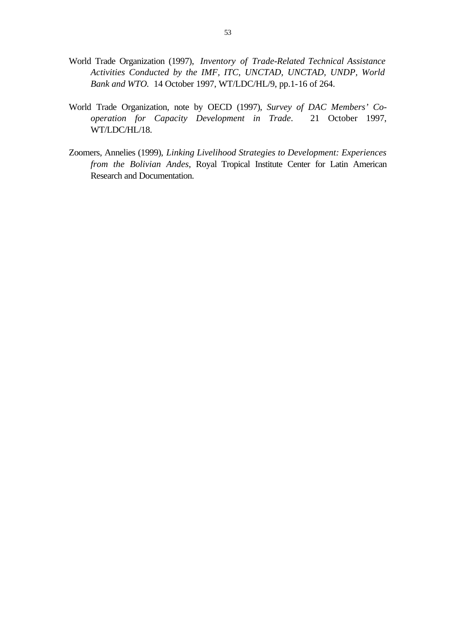- World Trade Organization (1997), *Inventory of Trade-Related Technical Assistance Activities Conducted by the IMF, ITC, UNCTAD, UNCTAD, UNDP, World Bank and WTO.* 14 October 1997, WT/LDC/HL/9, pp.1-16 of 264.
- World Trade Organization, note by OECD (1997), *Survey of DAC Members' Cooperation for Capacity Development in Trade*. 21 October 1997, WT/LDC/HL/18.
- Zoomers, Annelies (1999), *Linking Livelihood Strategies to Development: Experiences from the Bolivian Andes*, Royal Tropical Institute Center for Latin American Research and Documentation.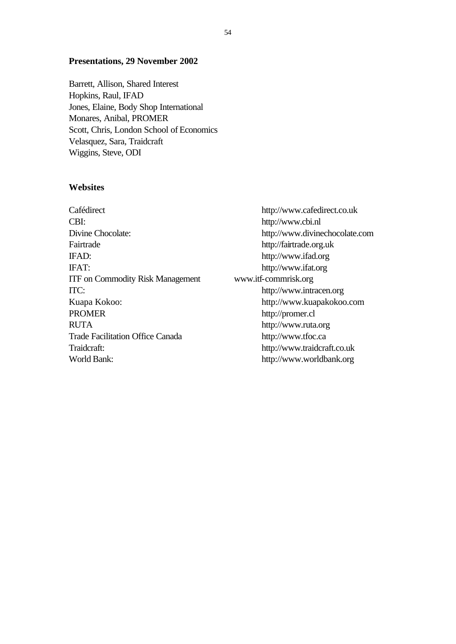## **Presentations, 29 November 2002**

Barrett, Allison, Shared Interest Hopkins, Raul, IFAD Jones, Elaine, Body Shop International Monares, Anibal, PROMER Scott, Chris, London School of Economics Velasquez, Sara, Traidcraft Wiggins, Steve, ODI

### **Websites**

Cafédirect http://www.cafedirect.co.uk CBI: http://www.cbi.nl Fairtrade http://fairtrade.org.uk IFAD: http://www.ifad.org IFAT: http://www.ifat.org ITF on Commodity Risk Management www.itf-commrisk.org ITC: http://www.intracen.org Kuapa Kokoo: http://www.kuapakokoo.com PROMER http://promer.cl RUTA http://www.ruta.org Trade Facilitation Office Canada http://www.tfoc.ca Traidcraft: http://www.traidcraft.co.uk World Bank: http://www.worldbank.org

Divine Chocolate: http://www.divinechocolate.com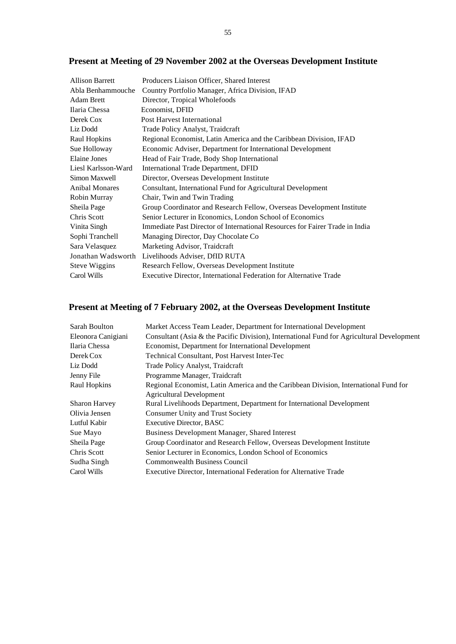# **Present at Meeting of 29 November 2002 at the Overseas Development Institute**

| <b>Allison Barrett</b> | Producers Liaison Officer, Shared Interest                                   |
|------------------------|------------------------------------------------------------------------------|
| Abla Benhammouche      | Country Portfolio Manager, Africa Division, IFAD                             |
| <b>Adam Brett</b>      | Director, Tropical Wholefoods                                                |
| Ilaria Chessa          | Economist, DFID                                                              |
| Derek Cox              | Post Harvest International                                                   |
| Liz Dodd               | Trade Policy Analyst, Traidcraft                                             |
| Raul Hopkins           | Regional Economist, Latin America and the Caribbean Division, IFAD           |
| Sue Holloway           | Economic Adviser, Department for International Development                   |
| Elaine Jones           | Head of Fair Trade, Body Shop International                                  |
| Liesl Karlsson-Ward    | <b>International Trade Department, DFID</b>                                  |
| Simon Maxwell          | Director, Overseas Development Institute                                     |
| <b>Anibal Monares</b>  | Consultant, International Fund for Agricultural Development                  |
| Robin Murray           | Chair, Twin and Twin Trading                                                 |
| Sheila Page            | Group Coordinator and Research Fellow, Overseas Development Institute        |
| Chris Scott            | Senior Lecturer in Economics, London School of Economics                     |
| Vinita Singh           | Immediate Past Director of International Resources for Fairer Trade in India |
| Sophi Tranchell        | Managing Director, Day Chocolate Co.                                         |
| Sara Velasquez         | Marketing Advisor, Traidcraft                                                |
| Jonathan Wadsworth     | Livelihoods Adviser, DfID RUTA                                               |
| Steve Wiggins          | Research Fellow, Overseas Development Institute                              |
| Carol Wills            | Executive Director, International Federation for Alternative Trade           |
|                        |                                                                              |

# **Present at Meeting of 7 February 2002, at the Overseas Development Institute**

| Sarah Boulton        | Market Access Team Leader, Department for International Development                       |
|----------------------|-------------------------------------------------------------------------------------------|
| Eleonora Canigiani   | Consultant (Asia & the Pacific Division), International Fund for Agricultural Development |
| Ilaria Chessa        | Economist, Department for International Development                                       |
| Derek Cox            | Technical Consultant, Post Harvest Inter-Tec                                              |
| Liz Dodd             | Trade Policy Analyst, Traidcraft                                                          |
| Jenny File           | Programme Manager, Traidcraft                                                             |
| Raul Hopkins         | Regional Economist, Latin America and the Caribbean Division, International Fund for      |
|                      | <b>Agricultural Development</b>                                                           |
| <b>Sharon Harvey</b> | Rural Livelihoods Department, Department for International Development                    |
| Olivia Jensen        | <b>Consumer Unity and Trust Society</b>                                                   |
| Lutful Kabir         | <b>Executive Director, BASC</b>                                                           |
| Sue Mayo             | Business Development Manager, Shared Interest                                             |
| Sheila Page          | Group Coordinator and Research Fellow, Overseas Development Institute                     |
| Chris Scott          | Senior Lecturer in Economics, London School of Economics                                  |
| Sudha Singh          | <b>Commonwealth Business Council</b>                                                      |
| Carol Wills          | Executive Director, International Federation for Alternative Trade                        |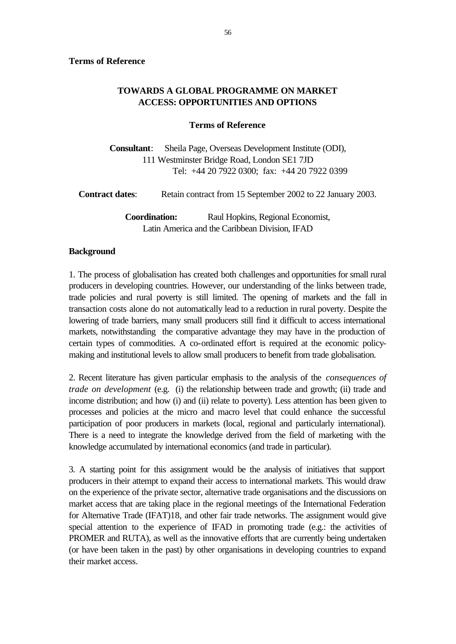# **TOWARDS A GLOBAL PROGRAMME ON MARKET ACCESS: OPPORTUNITIES AND OPTIONS**

# **Terms of Reference**

**Consultant**: Sheila Page, Overseas Development Institute (ODI), 111 Westminster Bridge Road, London SE1 7JD Tel: +44 20 7922 0300; fax: +44 20 7922 0399

**Contract dates:** Retain contract from 15 September 2002 to 22 January 2003. **Coordination:** Raul Hopkins, Regional Economist, Latin America and the Caribbean Division, IFAD

# **Background**

1. The process of globalisation has created both challenges and opportunities for small rural producers in developing countries. However, our understanding of the links between trade, trade policies and rural poverty is still limited. The opening of markets and the fall in transaction costs alone do not automatically lead to a reduction in rural poverty. Despite the lowering of trade barriers, many small producers still find it difficult to access international markets, notwithstanding the comparative advantage they may have in the production of certain types of commodities. A co-ordinated effort is required at the economic policymaking and institutional levels to allow small producers to benefit from trade globalisation.

2. Recent literature has given particular emphasis to the analysis of the *consequences of trade on development* (e.g. (i) the relationship between trade and growth; (ii) trade and income distribution; and how (i) and (ii) relate to poverty). Less attention has been given to processes and policies at the micro and macro level that could enhance the successful participation of poor producers in markets (local, regional and particularly international). There is a need to integrate the knowledge derived from the field of marketing with the knowledge accumulated by international economics (and trade in particular).

3. A starting point for this assignment would be the analysis of initiatives that support producers in their attempt to expand their access to international markets. This would draw on the experience of the private sector, alternative trade organisations and the discussions on market access that are taking place in the regional meetings of the International Federation for Alternative Trade (IFAT)18, and other fair trade networks. The assignment would give special attention to the experience of IFAD in promoting trade (e.g.: the activities of PROMER and RUTA), as well as the innovative efforts that are currently being undertaken (or have been taken in the past) by other organisations in developing countries to expand their market access.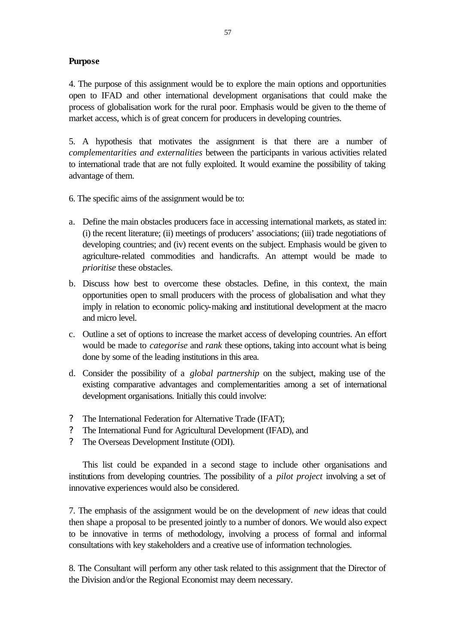# **Purpose**

4. The purpose of this assignment would be to explore the main options and opportunities open to IFAD and other international development organisations that could make the process of globalisation work for the rural poor. Emphasis would be given to the theme of market access, which is of great concern for producers in developing countries.

5. A hypothesis that motivates the assignment is that there are a number of *complementarities and externalities* between the participants in various activities related to international trade that are not fully exploited. It would examine the possibility of taking advantage of them.

- 6. The specific aims of the assignment would be to:
- a. Define the main obstacles producers face in accessing international markets, as stated in: (i) the recent literature; (ii) meetings of producers' associations; (iii) trade negotiations of developing countries; and (iv) recent events on the subject. Emphasis would be given to agriculture-related commodities and handicrafts. An attempt would be made to *prioritise* these obstacles.
- b. Discuss how best to overcome these obstacles. Define, in this context, the main opportunities open to small producers with the process of globalisation and what they imply in relation to economic policy-making and institutional development at the macro and micro level.
- c. Outline a set of options to increase the market access of developing countries. An effort would be made to *categorise* and *rank* these options, taking into account what is being done by some of the leading institutions in this area.
- d. Consider the possibility of a *global partnership* on the subject, making use of the existing comparative advantages and complementarities among a set of international development organisations. Initially this could involve:
- ? The International Federation for Alternative Trade (IFAT);
- ? The International Fund for Agricultural Development (IFAD), and
- ? The Overseas Development Institute (ODI).

This list could be expanded in a second stage to include other organisations and institutions from developing countries. The possibility of a *pilot project* involving a set of innovative experiences would also be considered.

7. The emphasis of the assignment would be on the development of *new* ideas that could then shape a proposal to be presented jointly to a number of donors. We would also expect to be innovative in terms of methodology, involving a process of formal and informal consultations with key stakeholders and a creative use of information technologies.

8. The Consultant will perform any other task related to this assignment that the Director of the Division and/or the Regional Economist may deem necessary.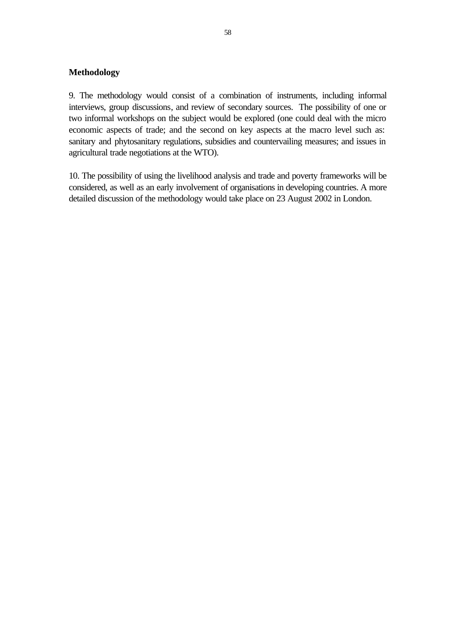# **Methodology**

9. The methodology would consist of a combination of instruments, including informal interviews, group discussions, and review of secondary sources. The possibility of one or two informal workshops on the subject would be explored (one could deal with the micro economic aspects of trade; and the second on key aspects at the macro level such as: sanitary and phytosanitary regulations, subsidies and countervailing measures; and issues in agricultural trade negotiations at the WTO).

10. The possibility of using the livelihood analysis and trade and poverty frameworks will be considered, as well as an early involvement of organisations in developing countries. A more detailed discussion of the methodology would take place on 23 August 2002 in London.